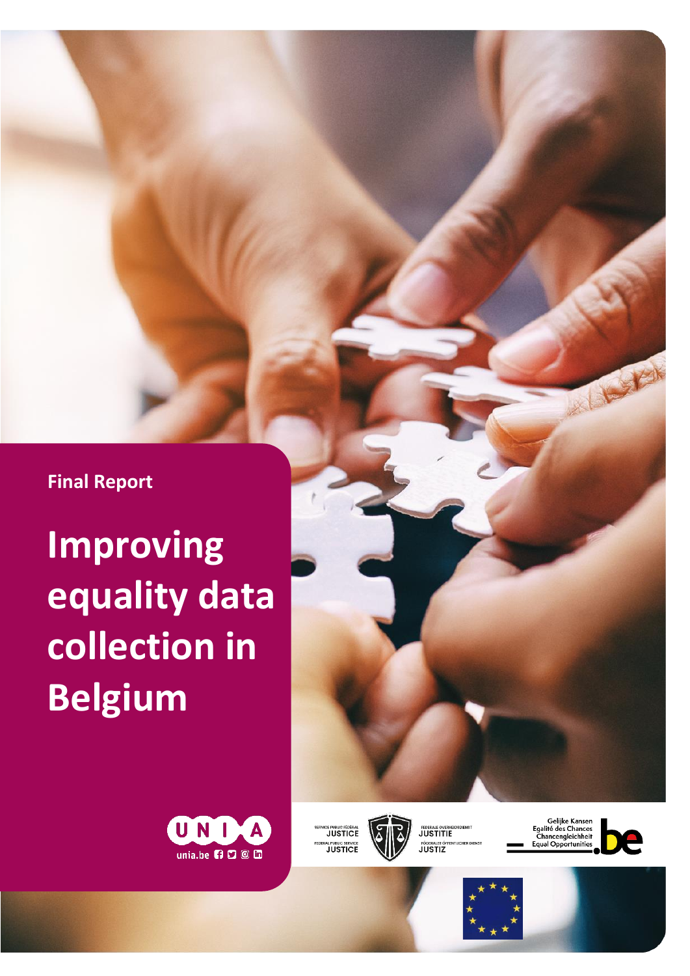**Final Report**

**Improving equality data collection in Belgium**





ICE PUBLIC FÉDÉRAL<br>I JUSTICE RAL PUBLIC SERVICE



FEDERALE OVERHE FÖDERALER ÖFI

Gelijke Kansen<br>Egalité des Chances<br>Chancengleichheit<br>Equal Opportunities





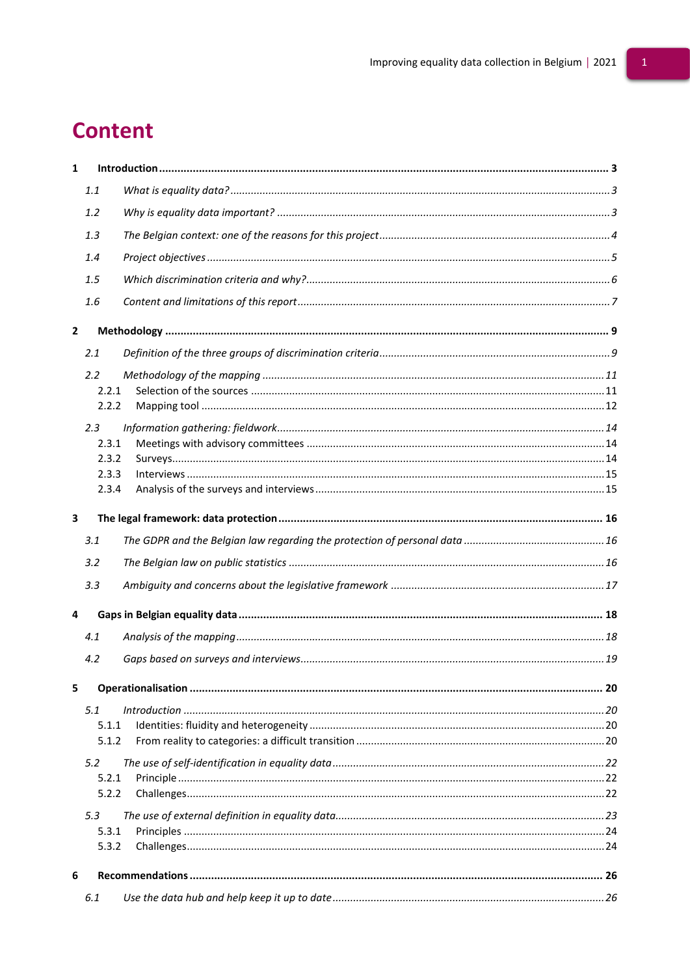# **Content**

| $\mathbf{1}$   |                |  |  |  |  |  |  |  |
|----------------|----------------|--|--|--|--|--|--|--|
|                | 1.1            |  |  |  |  |  |  |  |
|                | 1.2            |  |  |  |  |  |  |  |
|                | 1.3            |  |  |  |  |  |  |  |
|                | 1.4            |  |  |  |  |  |  |  |
|                | 1.5            |  |  |  |  |  |  |  |
|                | 1.6            |  |  |  |  |  |  |  |
| $\overline{2}$ |                |  |  |  |  |  |  |  |
|                | 2.1            |  |  |  |  |  |  |  |
|                | 2.2            |  |  |  |  |  |  |  |
|                | 2.2.1          |  |  |  |  |  |  |  |
|                | 2.2.2          |  |  |  |  |  |  |  |
|                | 2.3            |  |  |  |  |  |  |  |
|                | 2.3.1          |  |  |  |  |  |  |  |
|                | 2.3.2          |  |  |  |  |  |  |  |
|                | 2.3.3          |  |  |  |  |  |  |  |
|                | 2.3.4          |  |  |  |  |  |  |  |
| 3              |                |  |  |  |  |  |  |  |
|                | 3.1            |  |  |  |  |  |  |  |
|                | 3.2            |  |  |  |  |  |  |  |
|                | 3.3            |  |  |  |  |  |  |  |
| 4              |                |  |  |  |  |  |  |  |
|                | 4.1            |  |  |  |  |  |  |  |
|                | 4.2            |  |  |  |  |  |  |  |
|                |                |  |  |  |  |  |  |  |
| 5              |                |  |  |  |  |  |  |  |
|                | 5.1            |  |  |  |  |  |  |  |
|                | 5.1.1<br>5.1.2 |  |  |  |  |  |  |  |
|                |                |  |  |  |  |  |  |  |
|                | 5.2            |  |  |  |  |  |  |  |
|                | 5.2.1<br>5.2.2 |  |  |  |  |  |  |  |
|                |                |  |  |  |  |  |  |  |
|                | 5.3            |  |  |  |  |  |  |  |
|                | 5.3.1<br>5.3.2 |  |  |  |  |  |  |  |
|                |                |  |  |  |  |  |  |  |
| 6              |                |  |  |  |  |  |  |  |
|                |                |  |  |  |  |  |  |  |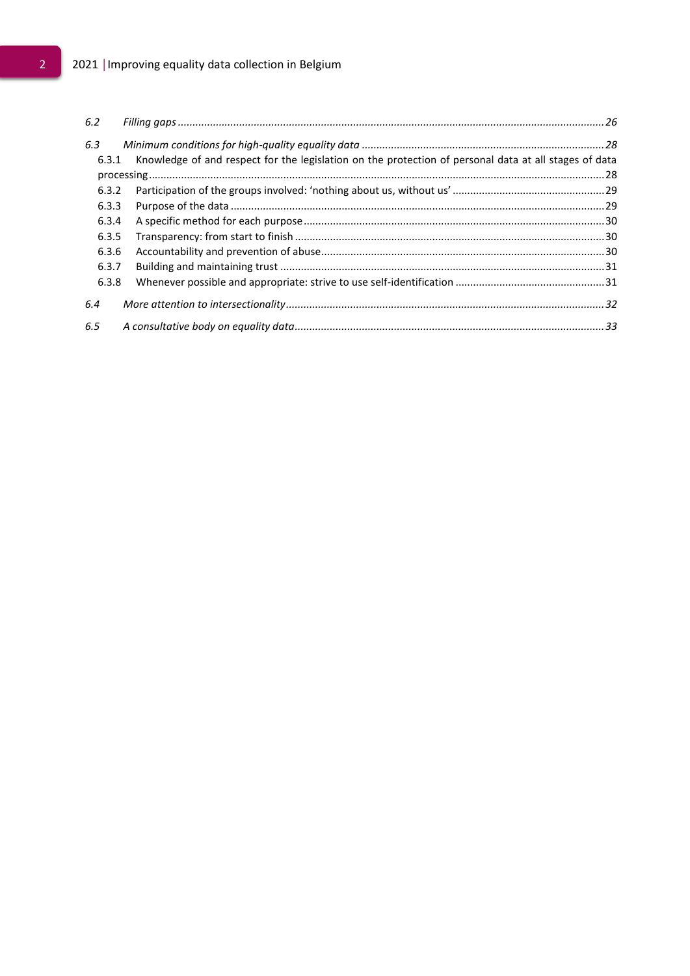# 2 2021 | Improving equality data collection in Belgium

<span id="page-2-0"></span>

| 6.2   |                                                                                                       |  |
|-------|-------------------------------------------------------------------------------------------------------|--|
| 6.3   |                                                                                                       |  |
| 6.3.1 | Knowledge of and respect for the legislation on the protection of personal data at all stages of data |  |
|       |                                                                                                       |  |
| 6.3.2 |                                                                                                       |  |
| 6.3.3 |                                                                                                       |  |
| 6.3.4 |                                                                                                       |  |
| 6.3.5 |                                                                                                       |  |
| 6.3.6 |                                                                                                       |  |
| 6.3.7 |                                                                                                       |  |
| 6.3.8 |                                                                                                       |  |
| 6.4   |                                                                                                       |  |
| 6.5   |                                                                                                       |  |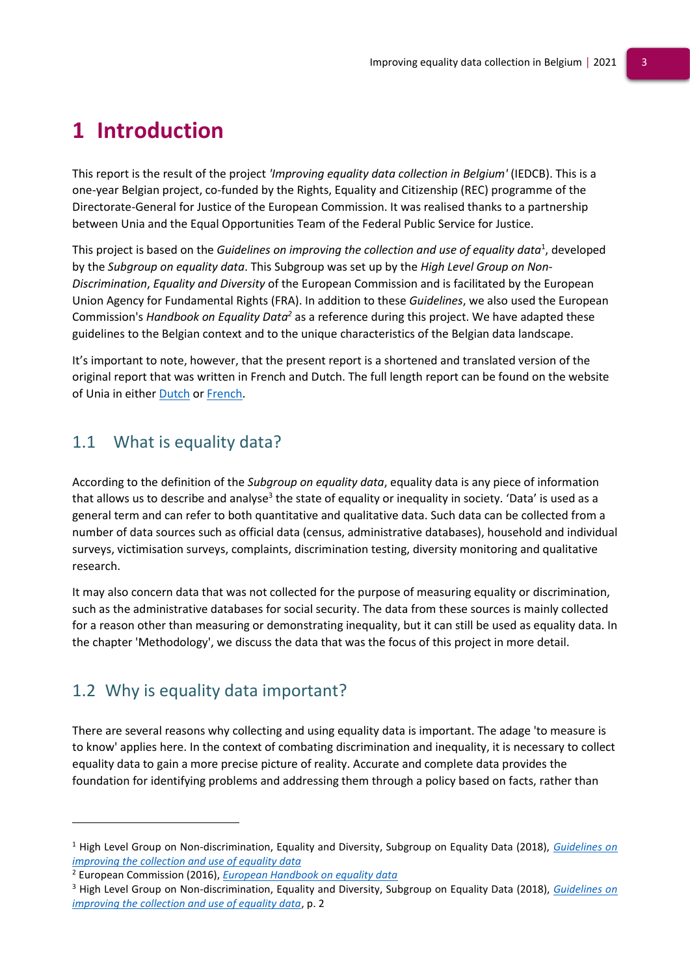# **1 Introduction**

This report is the result of the project *'Improving equality data collection in Belgium'* (IEDCB). This is a one-year Belgian project, co-funded by the Rights, Equality and Citizenship (REC) programme of the Directorate-General for Justice of the European Commission. It was realised thanks to a partnership between Unia and the Equal Opportunities Team of the Federal Public Service for Justice.

This project is based on the *Guidelines on improving the collection and use of equality data<sup>1</sup>, developed* by the *Subgroup on equality data*. This Subgroup was set up by the *High Level Group on Non-Discrimination*, *Equality and Diversity* of the European Commission and is facilitated by the European Union Agency for Fundamental Rights (FRA). In addition to these *Guidelines*, we also used the European Commission's *Handbook on Equality Data<sup>2</sup>* as a reference during this project. We have adapted these guidelines to the Belgian context and to the unique characteristics of the Belgian data landscape.

It's important to note, however, that the present report is a shortened and translated version of the original report that was written in French and Dutch. The full length report can be found on the website of Unia in either [Dutch](https://www.unia.be/files/Documenten/Publicaties_docs/Rapport_IEDCB_-_NL_1006.pdf) o[r French.](https://www.unia.be/files/Documenten/Publicaties_docs/Rapport_IEDCB-FR-1106.pdf)

# <span id="page-3-0"></span>1.1 What is equality data?

According to the definition of the *Subgroup on equality data*, equality data is any piece of information that allows us to describe and analyse<sup>3</sup> the state of equality or inequality in society. 'Data' is used as a general term and can refer to both quantitative and qualitative data. Such data can be collected from a number of data sources such as official data (census, administrative databases), household and individual surveys, victimisation surveys, complaints, discrimination testing, diversity monitoring and qualitative research.

It may also concern data that was not collected for the purpose of measuring equality or discrimination, such as the administrative databases for social security. The data from these sources is mainly collected for a reason other than measuring or demonstrating inequality, but it can still be used as equality data. In the chapter 'Methodology', we discuss the data that was the focus of this project in more detail.

# <span id="page-3-1"></span>1.2 Why is equality data important?

There are several reasons why collecting and using equality data is important. The adage 'to measure is to know' applies here. In the context of combating discrimination and inequality, it is necessary to collect equality data to gain a more precise picture of reality. Accurate and complete data provides the foundation for identifying problems and addressing them through a policy based on facts, rather than

<sup>1</sup> High Level Group on Non-discrimination, Equality and Diversity, Subgroup on Equality Data (2018), *[Guidelines on](https://fra.europa.eu/sites/default/files/fra_uploads/ec-july-2018-guidelines-equality-data-collection.pdf)  [improving the collection and use of equality data](https://fra.europa.eu/sites/default/files/fra_uploads/ec-july-2018-guidelines-equality-data-collection.pdf)*

<sup>2</sup> European Commission (2016), *[European Handbook on equality data](https://ec.europa.eu/newsroom/just/document.cfm?action=display&doc_id=43205)*

<sup>3</sup> High Level Group on Non-discrimination, Equality and Diversity, Subgroup on Equality Data (2018), *[Guidelines on](https://fra.europa.eu/sites/default/files/fra_uploads/ec-july-2018-guidelines-equality-data-collection.pdf)  [improving the collection and use of equality data](https://fra.europa.eu/sites/default/files/fra_uploads/ec-july-2018-guidelines-equality-data-collection.pdf)*, p. 2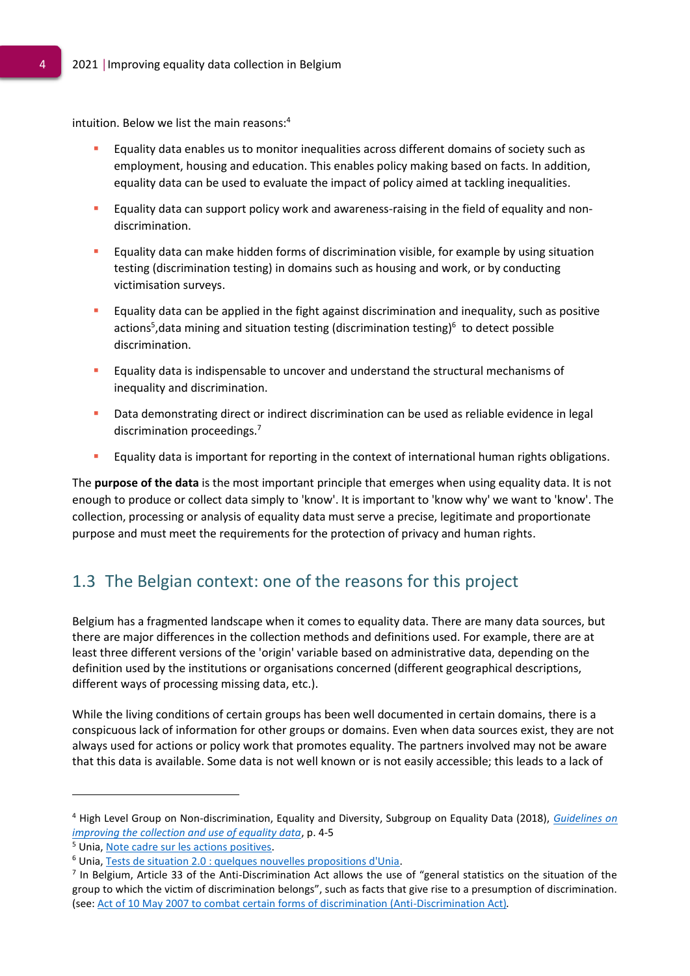intuition. Below we list the main reasons: 4

- Equality data enables us to monitor inequalities across different domains of society such as employment, housing and education. This enables policy making based on facts. In addition, equality data can be used to evaluate the impact of policy aimed at tackling inequalities.
- Equality data can support policy work and awareness-raising in the field of equality and nondiscrimination.
- Equality data can make hidden forms of discrimination visible, for example by using situation testing (discrimination testing) in domains such as housing and work, or by conducting victimisation surveys.
- Equality data can be applied in the fight against discrimination and inequality, such as positive actions<sup>5</sup>, data mining and situation testing (discrimination testing)<sup>6</sup> to detect possible discrimination.
- Equality data is indispensable to uncover and understand the structural mechanisms of inequality and discrimination.
- Data demonstrating direct or indirect discrimination can be used as reliable evidence in legal discrimination proceedings.<sup>7</sup>
- **Equality data is important for reporting in the context of international human rights obligations.**

The **purpose of the data** is the most important principle that emerges when using equality data. It is not enough to produce or collect data simply to 'know'. It is important to 'know why' we want to 'know'. The collection, processing or analysis of equality data must serve a precise, legitimate and proportionate purpose and must meet the requirements for the protection of privacy and human rights.

# <span id="page-4-0"></span>1.3 The Belgian context: one of the reasons for this project

Belgium has a fragmented landscape when it comes to equality data. There are many data sources, but there are major differences in the collection methods and definitions used. For example, there are at least three different versions of the 'origin' variable based on administrative data, depending on the definition used by the institutions or organisations concerned (different geographical descriptions, different ways of processing missing data, etc.).

While the living conditions of certain groups has been well documented in certain domains, there is a conspicuous lack of information for other groups or domains. Even when data sources exist, they are not always used for actions or policy work that promotes equality. The partners involved may not be aware that this data is available. Some data is not well known or is not easily accessible; this leads to a lack of

<sup>4</sup> High Level Group on Non-discrimination, Equality and Diversity, Subgroup on Equality Data (2018), *[Guidelines on](https://fra.europa.eu/sites/default/files/fra_uploads/ec-july-2018-guidelines-equality-data-collection.pdf)  [improving the collection and use of equality data](https://fra.europa.eu/sites/default/files/fra_uploads/ec-july-2018-guidelines-equality-data-collection.pdf)*, p. 4-5

<sup>5</sup> Unia, Note cadre sur les actions positives.

<sup>6</sup> Unia, Tests de situation 2.0 : quelques nouvelles propositions d'Unia.

<sup>&</sup>lt;sup>7</sup> In Belgium, Article 33 of the Anti-Discrimination Act allows the use of "general statistics on the situation of the group to which the victim of discrimination belongs", such as facts that give rise to a presumption of discrimination. (see: [Act of 10 May 2007 to combat certain forms of discrimination \(Anti-Discrimination Act\)](https://www.ejustice.just.fgov.be/mopdf/2007/05/30_2.pdf#Page21)*.*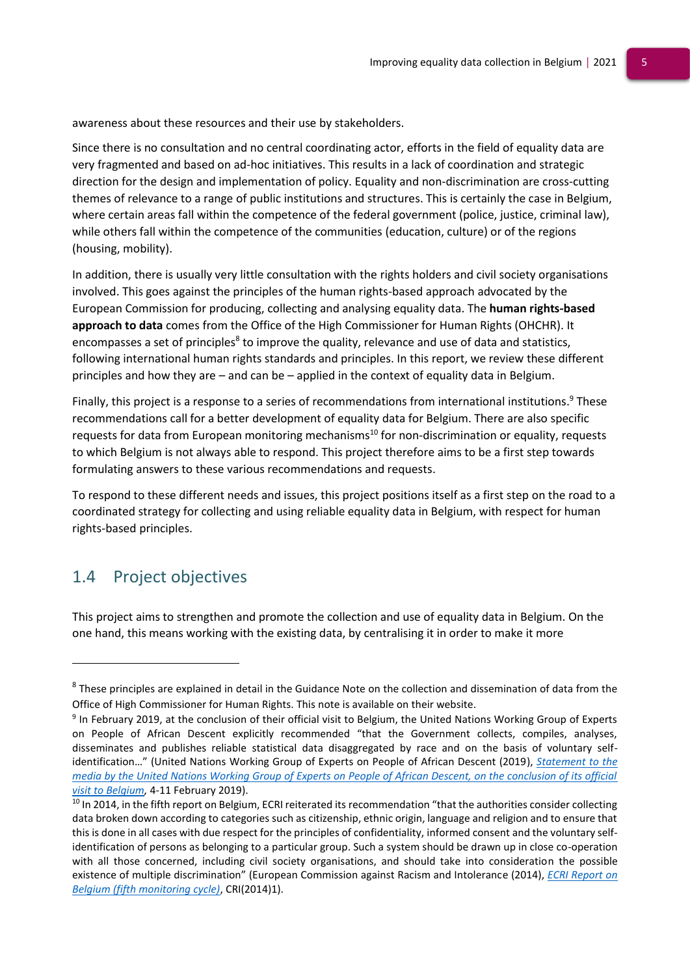awareness about these resources and their use by stakeholders.

Since there is no consultation and no central coordinating actor, efforts in the field of equality data are very fragmented and based on ad-hoc initiatives. This results in a lack of coordination and strategic direction for the design and implementation of policy. Equality and non-discrimination are cross-cutting themes of relevance to a range of public institutions and structures. This is certainly the case in Belgium, where certain areas fall within the competence of the federal government (police, justice, criminal law), while others fall within the competence of the communities (education, culture) or of the regions (housing, mobility).

In addition, there is usually very little consultation with the rights holders and civil society organisations involved. This goes against the principles of the human rights-based approach advocated by the European Commission for producing, collecting and analysing equality data. The **human rights-based approach to data** comes from the Office of the High Commissioner for Human Rights (OHCHR). It encompasses a set of principles<sup>8</sup> to improve the quality, relevance and use of data and statistics, following international human rights standards and principles. In this report, we review these different principles and how they are – and can be – applied in the context of equality data in Belgium.

Finally, this project is a response to a series of recommendations from international institutions.<sup>9</sup> These recommendations call for a better development of equality data for Belgium. There are also specific requests for data from European monitoring mechanisms<sup>10</sup> for non-discrimination or equality, requests to which Belgium is not always able to respond. This project therefore aims to be a first step towards formulating answers to these various recommendations and requests.

To respond to these different needs and issues, this project positions itself as a first step on the road to a coordinated strategy for collecting and using reliable equality data in Belgium, with respect for human rights-based principles.

# <span id="page-5-0"></span>1.4 Project objectives

This project aims to strengthen and promote the collection and use of equality data in Belgium. On the one hand, this means working with the existing data, by centralising it in order to make it more

 $8$  These principles are explained in detail in the Guidance Note on the collection and dissemination of data from the Office of High Commissioner for Human Rights. This note is available on their website.

<sup>&</sup>lt;sup>9</sup> In February 2019, at the conclusion of their official visit to Belgium, the United Nations Working Group of Experts on People of African Descent explicitly recommended "that the Government collects, compiles, analyses, disseminates and publishes reliable statistical data disaggregated by race and on the basis of voluntary selfidentification…" (United Nations Working Group of Experts on People of African Descent (2019), *[Statement to the](https://www.ohchr.org/en/NewsEvents/Pages/DisplayNews.aspx?NewsID=24153&LangID=E)  [media by the United Nations Working Group of Experts on People of African Descent, on the conclusion of its official](https://www.ohchr.org/en/NewsEvents/Pages/DisplayNews.aspx?NewsID=24153&LangID=E)  [visit to Belgium,](https://www.ohchr.org/en/NewsEvents/Pages/DisplayNews.aspx?NewsID=24153&LangID=E)* 4-11 February 2019).

<sup>&</sup>lt;sup>10</sup> In 2014, in the fifth report on Belgium, ECRI reiterated its recommendation "that the authorities consider collecting data broken down according to categories such as citizenship, ethnic origin, language and religion and to ensure that this is done in all cases with due respect for the principles of confidentiality, informed consent and the voluntary selfidentification of persons as belonging to a particular group. Such a system should be drawn up in close co-operation with all those concerned, including civil society organisations, and should take into consideration the possible existence of multiple discrimination" (European Commission against Racism and Intolerance (2014), *[ECRI Report on](https://rm.coe.int/fifth-report-on-belgium/16808b55ab)  [Belgium \(fifth monitoring cycle\)](https://rm.coe.int/fifth-report-on-belgium/16808b55ab)*, CRI(2014)1).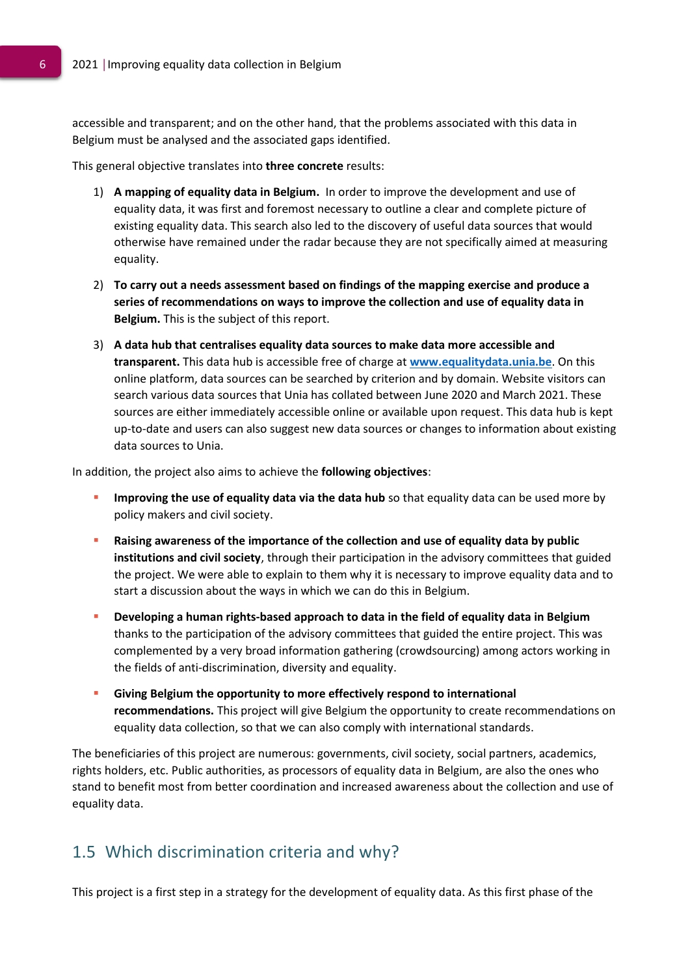accessible and transparent; and on the other hand, that the problems associated with this data in Belgium must be analysed and the associated gaps identified.

This general objective translates into **three concrete** results:

- 1) **A mapping of equality data in Belgium.** In order to improve the development and use of equality data, it was first and foremost necessary to outline a clear and complete picture of existing equality data. This search also led to the discovery of useful data sources that would otherwise have remained under the radar because they are not specifically aimed at measuring equality.
- 2) **To carry out a needs assessment based on findings of the mapping exercise and produce a series of recommendations on ways to improve the collection and use of equality data in Belgium.** This is the subject of this report.
- 3) **A data hub that centralises equality data sources to make data more accessible and transparent.** This data hub is accessible free of charge at **[www.equalitydata.unia.be](http://www.equalitydata.unia.be/)**. On this online platform, data sources can be searched by criterion and by domain. Website visitors can search various data sources that Unia has collated between June 2020 and March 2021. These sources are either immediately accessible online or available upon request. This data hub is kept up-to-date and users can also suggest new data sources or changes to information about existing data sources to Unia.

In addition, the project also aims to achieve the **following objectives**:

- **Improving the use of equality data via the data hub** so that equality data can be used more by policy makers and civil society.
- **Raising awareness of the importance of the collection and use of equality data by public institutions and civil society**, through their participation in the advisory committees that guided the project. We were able to explain to them why it is necessary to improve equality data and to start a discussion about the ways in which we can do this in Belgium.
- **Developing a human rights-based approach to data in the field of equality data in Belgium**  thanks to the participation of the advisory committees that guided the entire project. This was complemented by a very broad information gathering (crowdsourcing) among actors working in the fields of anti-discrimination, diversity and equality.
- **Giving Belgium the opportunity to more effectively respond to international recommendations.** This project will give Belgium the opportunity to create recommendations on equality data collection, so that we can also comply with international standards.

The beneficiaries of this project are numerous: governments, civil society, social partners, academics, rights holders, etc. Public authorities, as processors of equality data in Belgium, are also the ones who stand to benefit most from better coordination and increased awareness about the collection and use of equality data.

### <span id="page-6-0"></span>1.5 Which discrimination criteria and why?

This project is a first step in a strategy for the development of equality data. As this first phase of the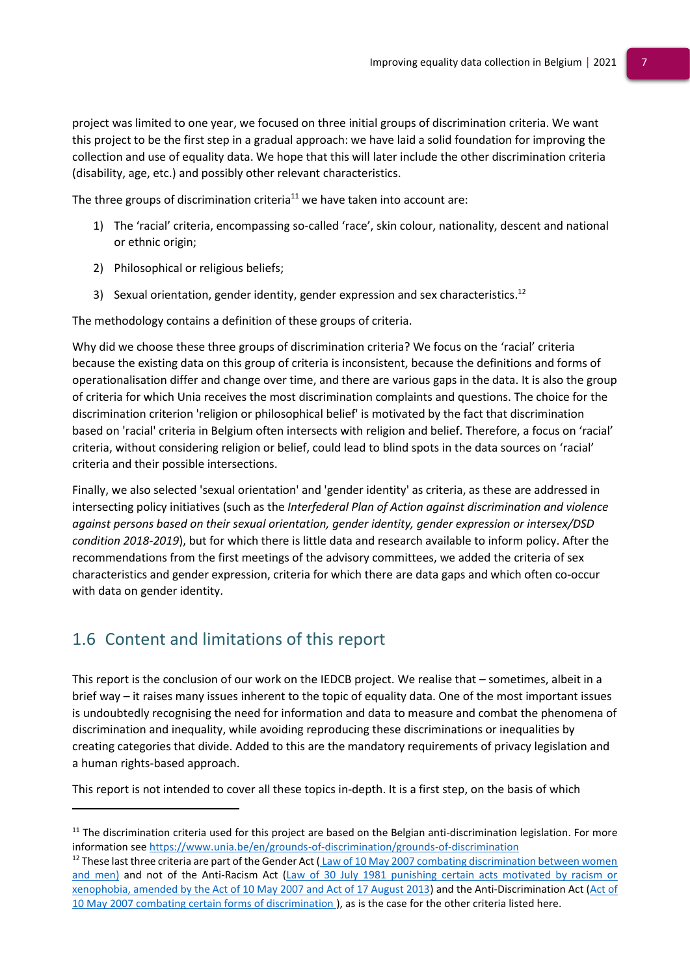project was limited to one year, we focused on three initial groups of discrimination criteria. We want this project to be the first step in a gradual approach: we have laid a solid foundation for improving the collection and use of equality data. We hope that this will later include the other discrimination criteria (disability, age, etc.) and possibly other relevant characteristics.

The three groups of discrimination criteria<sup>11</sup> we have taken into account are:

- 1) The 'racial' criteria, encompassing so-called 'race', skin colour, nationality, descent and national or ethnic origin;
- 2) Philosophical or religious beliefs;
- 3) Sexual orientation, gender identity, gender expression and sex characteristics.<sup>12</sup>

The methodology contains a definition of these groups of criteria.

Why did we choose these three groups of discrimination criteria? We focus on the 'racial' criteria because the existing data on this group of criteria is inconsistent, because the definitions and forms of operationalisation differ and change over time, and there are various gaps in the data. It is also the group of criteria for which Unia receives the most discrimination complaints and questions. The choice for the discrimination criterion 'religion or philosophical belief' is motivated by the fact that discrimination based on 'racial' criteria in Belgium often intersects with religion and belief. Therefore, a focus on 'racial' criteria, without considering religion or belief, could lead to blind spots in the data sources on 'racial' criteria and their possible intersections.

Finally, we also selected 'sexual orientation' and 'gender identity' as criteria, as these are addressed in intersecting policy initiatives (such as the *Interfederal Plan of Action against discrimination and violence against persons based on their sexual orientation, gender identity, gender expression or intersex/DSD condition 2018-2019*), but for which there is little data and research available to inform policy. After the recommendations from the first meetings of the advisory committees, we added the criteria of sex characteristics and gender expression, criteria for which there are data gaps and which often co-occur with data on gender identity.

# <span id="page-7-0"></span>1.6 Content and limitations of this report

This report is the conclusion of our work on the IEDCB project. We realise that – sometimes, albeit in a brief way – it raises many issues inherent to the topic of equality data. One of the most important issues is undoubtedly recognising the need for information and data to measure and combat the phenomena of discrimination and inequality, while avoiding reproducing these discriminations or inequalities by creating categories that divide. Added to this are the mandatory requirements of privacy legislation and a human rights-based approach.

This report is not intended to cover all these topics in-depth. It is a first step, on the basis of which

 $11$  The discrimination criteria used for this project are based on the Belgian anti-discrimination legislation. For more information see<https://www.unia.be/en/grounds-of-discrimination/grounds-of-discrimination>

<sup>&</sup>lt;sup>12</sup> These last three criteria are part of the Gender Act  $(Law$  of 10 May 2007 combating discrimination between women [and men\)](https://www.ejustice.just.fgov.be/cgi_loi/change_lg.pl?language=nl&la=N&cn=2007051036&table_name=wet) and not of the Anti-Racism Act [\(Law of 30 July 1981 punishing certain acts motivated by racism or](https://www.ejustice.just.fgov.be/cgi_loi/change_lg_2.pl?language=nl&nm=1981001359&la=N)  [xenophobia, amended by the Act of 10 May 2007 and Act of 17 August 2013\)](https://www.ejustice.just.fgov.be/cgi_loi/change_lg_2.pl?language=nl&nm=1981001359&la=N) and the Anti-Discrimination Act [\(Act of](https://www.ejustice.just.fgov.be/cgi_loi/change_lg.pl?language=nl&la=N&cn=2007051035&table_name=wet)  [10 May 2007 combating certain forms of discrimination \)](https://www.ejustice.just.fgov.be/cgi_loi/change_lg.pl?language=nl&la=N&cn=2007051035&table_name=wet), as is the case for the other criteria listed here.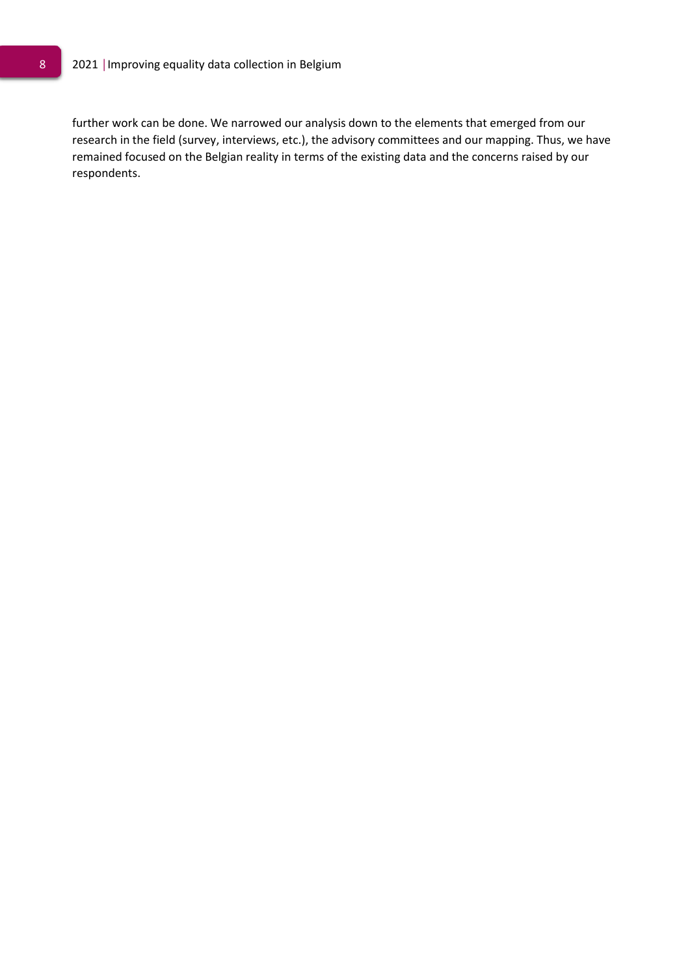further work can be done. We narrowed our analysis down to the elements that emerged from our research in the field (survey, interviews, etc.), the advisory committees and our mapping. Thus, we have remained focused on the Belgian reality in terms of the existing data and the concerns raised by our respondents.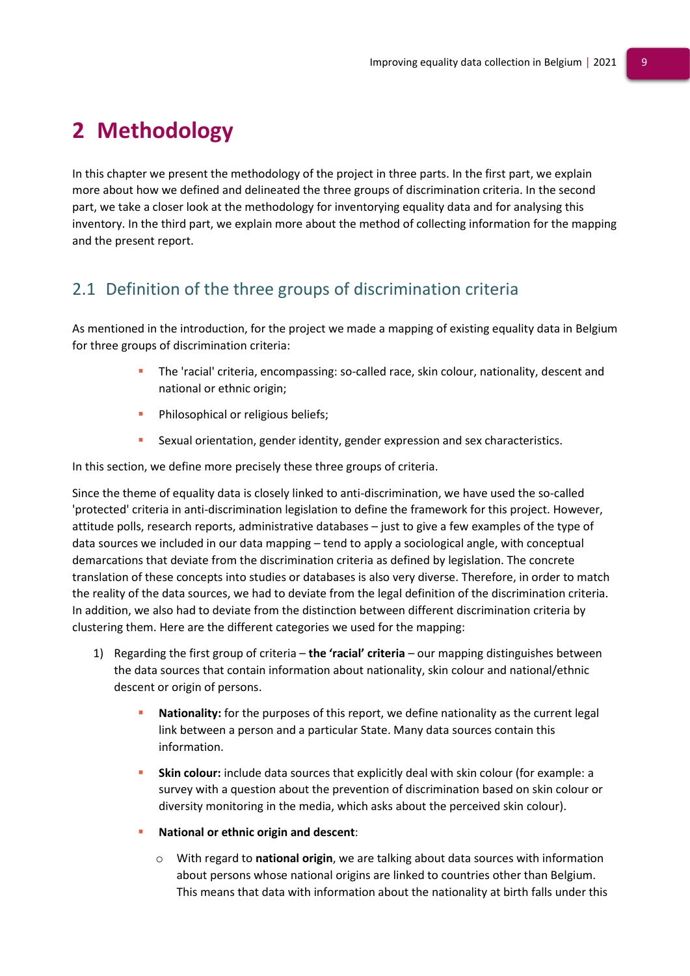# <span id="page-9-0"></span>**2 Methodology**

In this chapter we present the methodology of the project in three parts. In the first part, we explain more about how we defined and delineated the three groups of discrimination criteria. In the second part, we take a closer look at the methodology for inventorying equality data and for analysing this inventory. In the third part, we explain more about the method of collecting information for the mapping and the present report.

# <span id="page-9-1"></span>2.1 Definition of the three groups of discrimination criteria

As mentioned in the introduction, for the project we made a mapping of existing equality data in Belgium for three groups of discrimination criteria:

- The 'racial' criteria, encompassing: so-called race, skin colour, nationality, descent and national or ethnic origin;
- Philosophical or religious beliefs;
- **EXECUARER EXAMPLE 25 SEXUAL ORIGINAL EXPLEMENT SEXUAL ORIGINAL SEX CONCERNATION** SEX Characteristics.

In this section, we define more precisely these three groups of criteria.

Since the theme of equality data is closely linked to anti-discrimination, we have used the so-called 'protected' criteria in anti-discrimination legislation to define the framework for this project. However, attitude polls, research reports, administrative databases – just to give a few examples of the type of data sources we included in our data mapping – tend to apply a sociological angle, with conceptual demarcations that deviate from the discrimination criteria as defined by legislation. The concrete translation of these concepts into studies or databases is also very diverse. Therefore, in order to match the reality of the data sources, we had to deviate from the legal definition of the discrimination criteria. In addition, we also had to deviate from the distinction between different discrimination criteria by clustering them. Here are the different categories we used for the mapping:

- 1) Regarding the first group of criteria **the 'racial' criteria** our mapping distinguishes between the data sources that contain information about nationality, skin colour and national/ethnic descent or origin of persons.
	- Nationality: for the purposes of this report, we define nationality as the current legal link between a person and a particular State. Many data sources contain this information.
	- **Skin colour:** include data sources that explicitly deal with skin colour (for example: a survey with a question about the prevention of discrimination based on skin colour or diversity monitoring in the media, which asks about the perceived skin colour).
	- **National or ethnic origin and descent:** 
		- o With regard to **national origin**, we are talking about data sources with information about persons whose national origins are linked to countries other than Belgium. This means that data with information about the nationality at birth falls under this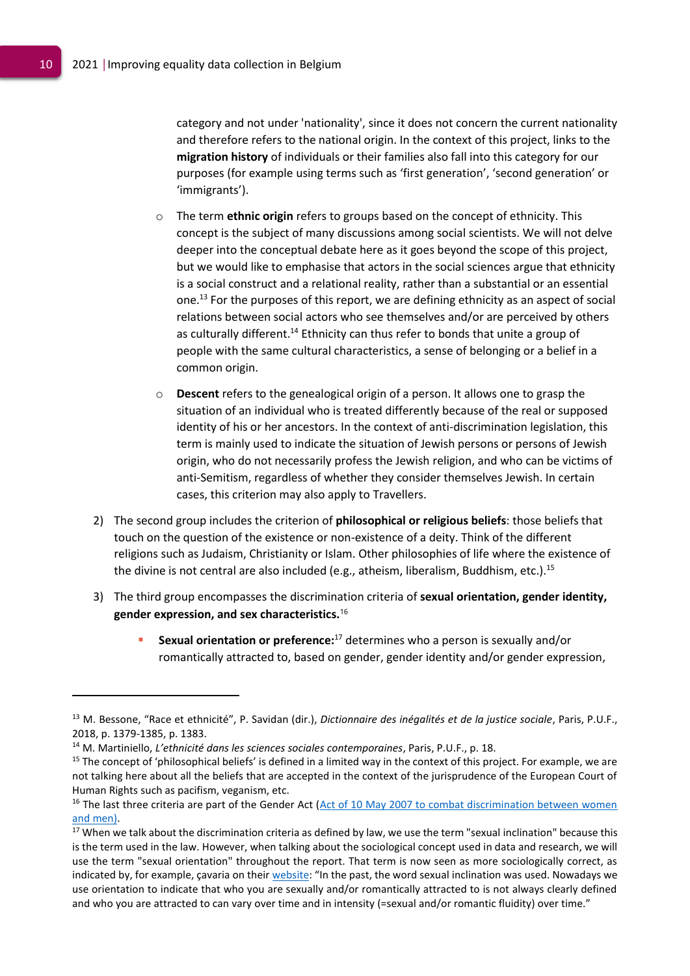category and not under 'nationality', since it does not concern the current nationality and therefore refers to the national origin. In the context of this project, links to the **migration history** of individuals or their families also fall into this category for our purposes (for example using terms such as 'first generation', 'second generation' or 'immigrants').

- o The term **ethnic origin** refers to groups based on the concept of ethnicity. This concept is the subject of many discussions among social scientists. We will not delve deeper into the conceptual debate here as it goes beyond the scope of this project, but we would like to emphasise that actors in the social sciences argue that ethnicity is a social construct and a relational reality, rather than a substantial or an essential one. <sup>13</sup> For the purposes of this report, we are defining ethnicity as an aspect of social relations between social actors who see themselves and/or are perceived by others as culturally different.<sup>14</sup> Ethnicity can thus refer to bonds that unite a group of people with the same cultural characteristics, a sense of belonging or a belief in a common origin.
- o **Descent** refers to the genealogical origin of a person. It allows one to grasp the situation of an individual who is treated differently because of the real or supposed identity of his or her ancestors. In the context of anti-discrimination legislation, this term is mainly used to indicate the situation of Jewish persons or persons of Jewish origin, who do not necessarily profess the Jewish religion, and who can be victims of anti-Semitism, regardless of whether they consider themselves Jewish. In certain cases, this criterion may also apply to Travellers.
- 2) The second group includes the criterion of **philosophical or religious beliefs**: those beliefs that touch on the question of the existence or non-existence of a deity. Think of the different religions such as Judaism, Christianity or Islam. Other philosophies of life where the existence of the divine is not central are also included (e.g., atheism, liberalism, Buddhism, etc.).<sup>15</sup>
- 3) The third group encompasses the discrimination criteria of **sexual orientation, gender identity, gender expression, and sex characteristics.** 16
	- **EXAL SEXUAL ORDIGATION OF STATE IS ATTED SEXUAL OF SEXUALLY AND SEXUALLY AND** SEXUALLY And/or romantically attracted to, based on gender, gender identity and/or gender expression,

<sup>13</sup> M. Bessone, "Race et ethnicité", P. Savidan (dir.), *Dictionnaire des inégalités et de la justice sociale*, Paris, P.U.F., 2018, p. 1379-1385, p. 1383.

<sup>14</sup> M. Martiniello, *L'ethnicité dans les sciences sociales contemporaines*, Paris, P.U.F., p. 18.

<sup>&</sup>lt;sup>15</sup> The concept of 'philosophical beliefs' is defined in a limited way in the context of this project. For example, we are not talking here about all the beliefs that are accepted in the context of the jurisprudence of the European Court of Human Rights such as pacifism, veganism, etc.

 $16$  The last three criteria are part of the Gender Act (Act of 10 May 2007 to combat discrimination between women and men).

<sup>&</sup>lt;sup>17</sup> When we talk about the discrimination criteria as defined by law, we use the term "sexual inclination" because this is the term used in the law. However, when talking about the sociological concept used in data and research, we will use the term "sexual orientation" throughout the report. That term is now seen as more sociologically correct, as indicated by, for example, çavaria on their [website](https://cavaria.be/woordenlijst): "In the past, the word sexual inclination was used. Nowadays we use orientation to indicate that who you are sexually and/or romantically attracted to is not always clearly defined and who you are attracted to can vary over time and in intensity (=sexual and/or romantic fluidity) over time."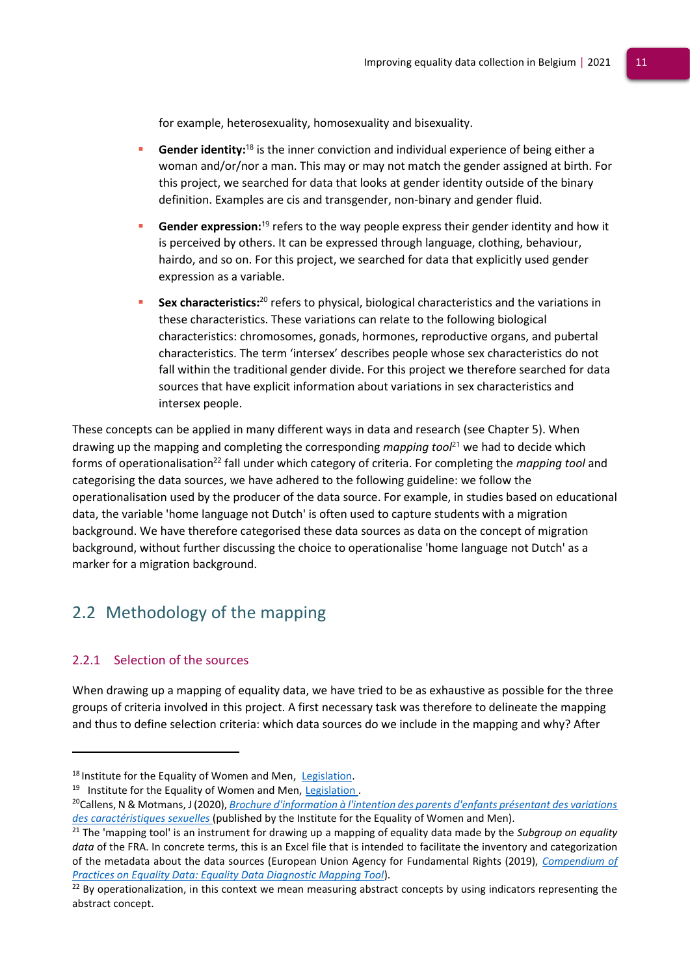for example, heterosexuality, homosexuality and bisexuality.

- **Gender identity:**<sup>18</sup> is the inner conviction and individual experience of being either a woman and/or/nor a man. This may or may not match the gender assigned at birth. For this project, we searched for data that looks at gender identity outside of the binary definition. Examples are cis and transgender, non-binary and gender fluid.
- **Gender expression:**<sup>19</sup> refers to the way people express their gender identity and how it is perceived by others. It can be expressed through language, clothing, behaviour, hairdo, and so on. For this project, we searched for data that explicitly used gender expression as a variable.
- **Sex characteristics:**<sup>20</sup> refers to physical, biological characteristics and the variations in these characteristics. These variations can relate to the following biological characteristics: chromosomes, gonads, hormones, reproductive organs, and pubertal characteristics. The term 'intersex' describes people whose sex characteristics do not fall within the traditional gender divide. For this project we therefore searched for data sources that have explicit information about variations in sex characteristics and intersex people.

These concepts can be applied in many different ways in data and research (see Chapter 5). When drawing up the mapping and completing the corresponding *mapping tool*<sup>21</sup> we had to decide which forms of operationalisation<sup>22</sup> fall under which category of criteria. For completing the *mapping tool* and categorising the data sources, we have adhered to the following guideline: we follow the operationalisation used by the producer of the data source. For example, in studies based on educational data, the variable 'home language not Dutch' is often used to capture students with a migration background. We have therefore categorised these data sources as data on the concept of migration background, without further discussing the choice to operationalise 'home language not Dutch' as a marker for a migration background.

# <span id="page-11-0"></span>2.2 Methodology of the mapping

### <span id="page-11-1"></span>2.2.1 Selection of the sources

When drawing up a mapping of equality data, we have tried to be as exhaustive as possible for the three groups of criteria involved in this project. A first necessary task was therefore to delineate the mapping and thus to define selection criteria: which data sources do we include in the mapping and why? After

<sup>18</sup> Institute for the Equality of Women and Men, [Legis](https://igvm-iefh.belgium.be/nl/activiteiten/transgender/wetgeving)lation.

<sup>&</sup>lt;sup>19</sup> Institute for the Equality of Women and Men, Legislation.

<sup>20</sup>Callens, N & Motmans, J (2020), *[Brochure d'information à l'intention des parents d'enfants présentant des variations](https://igvm-iefh.belgium.be/fr/publications/brochure_dinformation_a_lintention_des_parents_denfants_presentant_des_variations_des)  [des caractéristiques sexuelles](https://igvm-iefh.belgium.be/fr/publications/brochure_dinformation_a_lintention_des_parents_denfants_presentant_des_variations_des)* (published by the Institute for the Equality of Women and Men).

<sup>21</sup> The 'mapping tool' is an instrument for drawing up a mapping of equality data made by the *Subgroup on equality data* of the FRA. In concrete terms, this is an Excel file that is intended to facilitate the inventory and categorization of the metadata about the data sources (European Union Agency for Fundamental Rights (2019), *[Compendium of](https://fra.europa.eu/en/themes/equality-non-discrimination-and-racism/about-compendium#diagnostic-tool)  [Practices on Equality Data: Equality Data Diagnostic Mapping Tool](https://fra.europa.eu/en/themes/equality-non-discrimination-and-racism/about-compendium#diagnostic-tool)*).

 $22$  By operationalization, in this context we mean measuring abstract concepts by using indicators representing the abstract concept.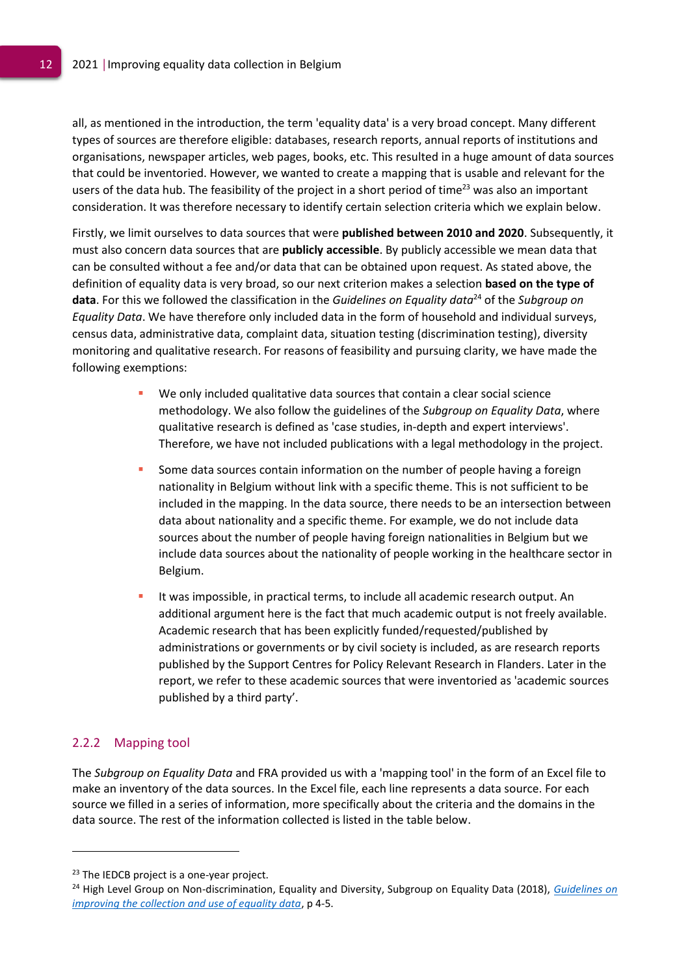all, as mentioned in the introduction, the term 'equality data' is a very broad concept. Many different types of sources are therefore eligible: databases, research reports, annual reports of institutions and organisations, newspaper articles, web pages, books, etc. This resulted in a huge amount of data sources that could be inventoried. However, we wanted to create a mapping that is usable and relevant for the users of the data hub. The feasibility of the project in a short period of time<sup>23</sup> was also an important consideration. It was therefore necessary to identify certain selection criteria which we explain below.

Firstly, we limit ourselves to data sources that were **published between 2010 and 2020**. Subsequently, it must also concern data sources that are **publicly accessible**. By publicly accessible we mean data that can be consulted without a fee and/or data that can be obtained upon request. As stated above, the definition of equality data is very broad, so our next criterion makes a selection **based on the type of data**. For this we followed the classification in the *Guidelines on Equality data*<sup>24</sup> of the *Subgroup on Equality Data*. We have therefore only included data in the form of household and individual surveys, census data, administrative data, complaint data, situation testing (discrimination testing), diversity monitoring and qualitative research. For reasons of feasibility and pursuing clarity, we have made the following exemptions:

- We only included qualitative data sources that contain a clear social science methodology. We also follow the guidelines of the *Subgroup on Equality Data*, where qualitative research is defined as 'case studies, in-depth and expert interviews'. Therefore, we have not included publications with a legal methodology in the project.
- Some data sources contain information on the number of people having a foreign nationality in Belgium without link with a specific theme. This is not sufficient to be included in the mapping. In the data source, there needs to be an intersection between data about nationality and a specific theme. For example, we do not include data sources about the number of people having foreign nationalities in Belgium but we include data sources about the nationality of people working in the healthcare sector in Belgium.
- It was impossible, in practical terms, to include all academic research output. An additional argument here is the fact that much academic output is not freely available. Academic research that has been explicitly funded/requested/published by administrations or governments or by civil society is included, as are research reports published by the Support Centres for Policy Relevant Research in Flanders. Later in the report, we refer to these academic sources that were inventoried as 'academic sources published by a third party'.

### <span id="page-12-0"></span>2.2.2 Mapping tool

The *Subgroup on Equality Data* and FRA provided us with a 'mapping tool' in the form of an Excel file to make an inventory of the data sources. In the Excel file, each line represents a data source. For each source we filled in a series of information, more specifically about the criteria and the domains in the data source. The rest of the information collected is listed in the table below.

<sup>&</sup>lt;sup>23</sup> The IEDCB project is a one-year project.

<sup>24</sup> High Level Group on Non-discrimination, Equality and Diversity, Subgroup on Equality Data (2018), *[Guidelines on](https://fra.europa.eu/sites/default/files/fra_uploads/ec-july-2018-guidelines-equality-data-collection.pdf)  [improving the collection and use of equality data](https://fra.europa.eu/sites/default/files/fra_uploads/ec-july-2018-guidelines-equality-data-collection.pdf)*, p 4-5.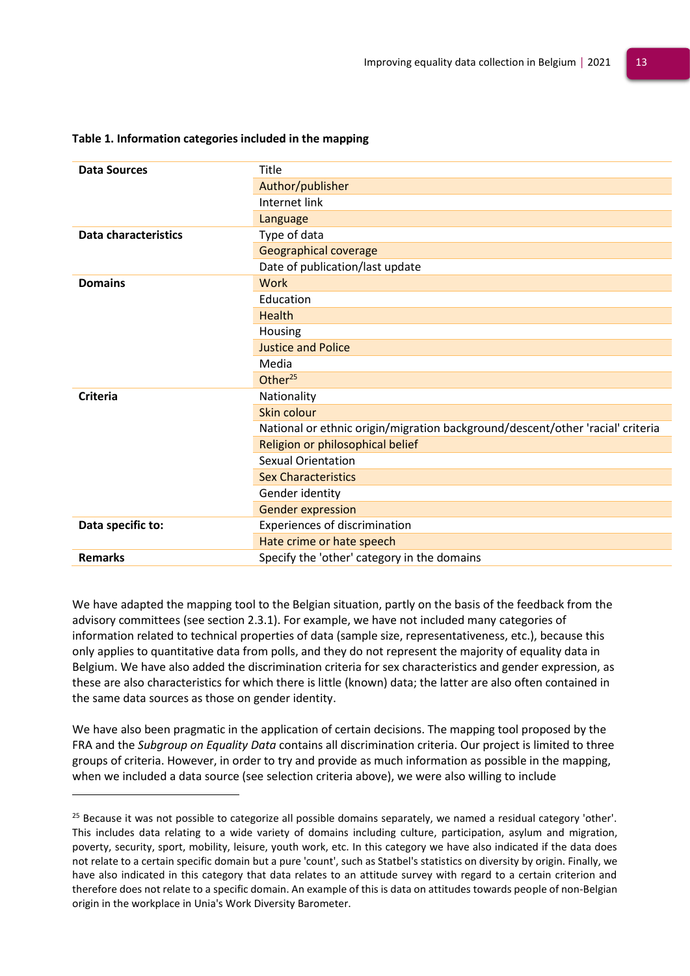| <b>Data Sources</b>  | Title                                                                          |
|----------------------|--------------------------------------------------------------------------------|
|                      | Author/publisher                                                               |
|                      | Internet link                                                                  |
|                      | Language                                                                       |
| Data characteristics | Type of data                                                                   |
|                      | Geographical coverage                                                          |
|                      | Date of publication/last update                                                |
| <b>Domains</b>       | Work                                                                           |
|                      | Education                                                                      |
|                      | <b>Health</b>                                                                  |
|                      | Housing                                                                        |
|                      | <b>Justice and Police</b>                                                      |
|                      | Media                                                                          |
|                      | Other <sup>25</sup>                                                            |
| Criteria             | Nationality                                                                    |
|                      | Skin colour                                                                    |
|                      | National or ethnic origin/migration background/descent/other 'racial' criteria |
|                      | Religion or philosophical belief                                               |
|                      | <b>Sexual Orientation</b>                                                      |
|                      | <b>Sex Characteristics</b>                                                     |
|                      | Gender identity                                                                |
|                      | <b>Gender expression</b>                                                       |
| Data specific to:    | Experiences of discrimination                                                  |
|                      | Hate crime or hate speech                                                      |
| <b>Remarks</b>       | Specify the 'other' category in the domains                                    |

### **Table 1. Information categories included in the mapping**

We have adapted the mapping tool to the Belgian situation, partly on the basis of the feedback from the advisory committees (see section 2.3.1). For example, we have not included many categories of information related to technical properties of data (sample size, representativeness, etc.), because this only applies to quantitative data from polls, and they do not represent the majority of equality data in Belgium. We have also added the discrimination criteria for sex characteristics and gender expression, as these are also characteristics for which there is little (known) data; the latter are also often contained in the same data sources as those on gender identity.

We have also been pragmatic in the application of certain decisions. The mapping tool proposed by the FRA and the *Subgroup on Equality Data* contains all discrimination criteria. Our project is limited to three groups of criteria. However, in order to try and provide as much information as possible in the mapping, when we included a data source (see selection criteria above), we were also willing to include

<sup>&</sup>lt;sup>25</sup> Because it was not possible to categorize all possible domains separately, we named a residual category 'other'. This includes data relating to a wide variety of domains including culture, participation, asylum and migration, poverty, security, sport, mobility, leisure, youth work, etc. In this category we have also indicated if the data does not relate to a certain specific domain but a pure 'count', such as Statbel's statistics on diversity by origin. Finally, we have also indicated in this category that data relates to an attitude survey with regard to a certain criterion and therefore does not relate to a specific domain. An example of this is data on attitudes towards people of non-Belgian origin in the workplace in Unia's Work Diversity Barometer.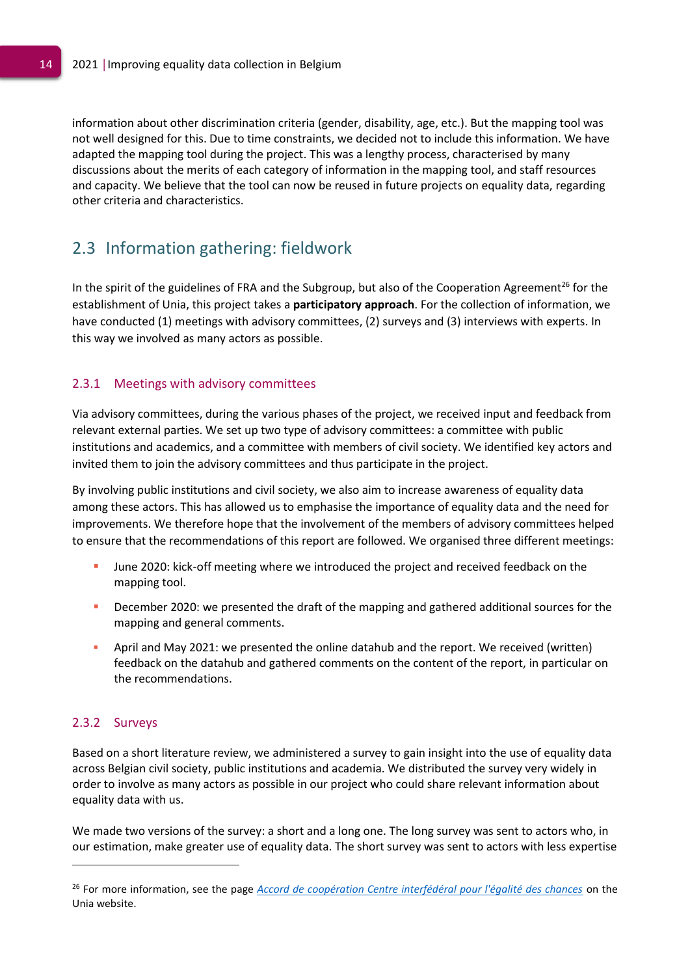information about other discrimination criteria (gender, disability, age, etc.). But the mapping tool was not well designed for this. Due to time constraints, we decided not to include this information. We have adapted the mapping tool during the project. This was a lengthy process, characterised by many discussions about the merits of each category of information in the mapping tool, and staff resources and capacity. We believe that the tool can now be reused in future projects on equality data, regarding other criteria and characteristics.

# <span id="page-14-0"></span>2.3 Information gathering: fieldwork

In the spirit of the guidelines of FRA and the Subgroup, but also of the Cooperation Agreement<sup>26</sup> for the establishment of Unia, this project takes a **participatory approach**. For the collection of information, we have conducted (1) meetings with advisory committees, (2) surveys and (3) interviews with experts. In this way we involved as many actors as possible.

### <span id="page-14-1"></span>2.3.1 Meetings with advisory committees

Via advisory committees, during the various phases of the project, we received input and feedback from relevant external parties. We set up two type of advisory committees: a committee with public institutions and academics, and a committee with members of civil society. We identified key actors and invited them to join the advisory committees and thus participate in the project.

By involving public institutions and civil society, we also aim to increase awareness of equality data among these actors. This has allowed us to emphasise the importance of equality data and the need for improvements. We therefore hope that the involvement of the members of advisory committees helped to ensure that the recommendations of this report are followed. We organised three different meetings:

- June 2020: kick-off meeting where we introduced the project and received feedback on the mapping tool.
- December 2020: we presented the draft of the mapping and gathered additional sources for the mapping and general comments.
- April and May 2021: we presented the online datahub and the report. We received (written) feedback on the datahub and gathered comments on the content of the report, in particular on the recommendations.

### <span id="page-14-2"></span>2.3.2 Surveys

Based on a short literature review, we administered a survey to gain insight into the use of equality data across Belgian civil society, public institutions and academia. We distributed the survey very widely in order to involve as many actors as possible in our project who could share relevant information about equality data with us.

We made two versions of the survey: a short and a long one. The long survey was sent to actors who, in our estimation, make greater use of equality data. The short survey was sent to actors with less expertise

<sup>26</sup> For more information, see the page *Accord de coopération Centre interfédéral pour l'égalité des chances* [o](https://www.unia.be/nl/wetgeving-aanbevelingen/wetgeving/samenwerkingsakkoord-interfederaal-gelijkekansencentrum)n the Unia website.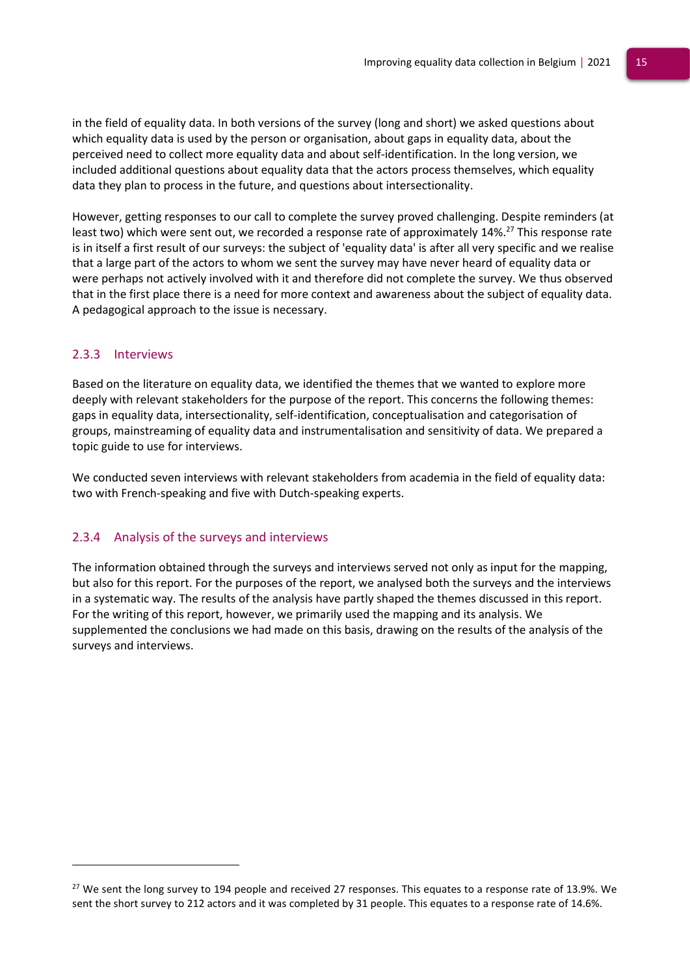in the field of equality data. In both versions of the survey (long and short) we asked questions about which equality data is used by the person or organisation, about gaps in equality data, about the perceived need to collect more equality data and about self-identification. In the long version, we included additional questions about equality data that the actors process themselves, which equality data they plan to process in the future, and questions about intersectionality.

However, getting responses to our call to complete the survey proved challenging. Despite reminders (at least two) which were sent out, we recorded a response rate of approximately 14%.<sup>27</sup> This response rate is in itself a first result of our surveys: the subject of 'equality data' is after all very specific and we realise that a large part of the actors to whom we sent the survey may have never heard of equality data or were perhaps not actively involved with it and therefore did not complete the survey. We thus observed that in the first place there is a need for more context and awareness about the subject of equality data. A pedagogical approach to the issue is necessary.

### <span id="page-15-0"></span>2.3.3 Interviews

Based on the literature on equality data, we identified the themes that we wanted to explore more deeply with relevant stakeholders for the purpose of the report. This concerns the following themes: gaps in equality data, intersectionality, self-identification, conceptualisation and categorisation of groups, mainstreaming of equality data and instrumentalisation and sensitivity of data. We prepared a topic guide to use for interviews.

<span id="page-15-1"></span>We conducted seven interviews with relevant stakeholders from academia in the field of equality data: two with French-speaking and five with Dutch-speaking experts.

### 2.3.4 Analysis of the surveys and interviews

The information obtained through the surveys and interviews served not only as input for the mapping, but also for this report. For the purposes of the report, we analysed both the surveys and the interviews in a systematic way. The results of the analysis have partly shaped the themes discussed in this report. For the writing of this report, however, we primarily used the mapping and its analysis. We supplemented the conclusions we had made on this basis, drawing on the results of the analysis of the surveys and interviews.

 $27$  We sent the long survey to 194 people and received 27 responses. This equates to a response rate of 13.9%. We sent the short survey to 212 actors and it was completed by 31 people. This equates to a response rate of 14.6%.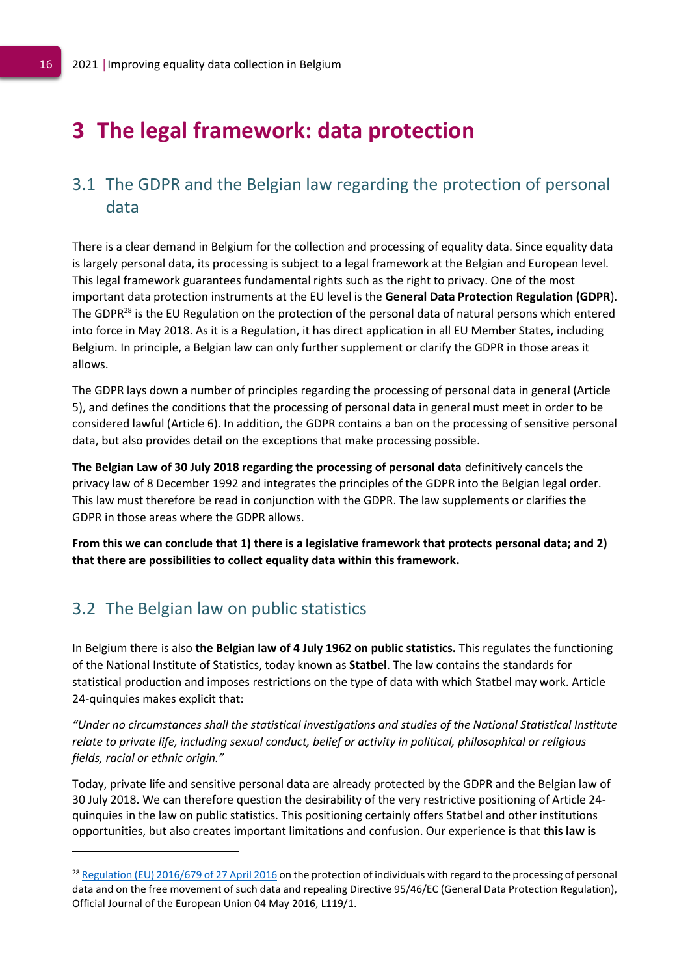# <span id="page-16-0"></span>**3 The legal framework: data protection**

# <span id="page-16-1"></span>3.1 The GDPR and the Belgian law regarding the protection of personal data

There is a clear demand in Belgium for the collection and processing of equality data. Since equality data is largely personal data, its processing is subject to a legal framework at the Belgian and European level. This legal framework guarantees fundamental rights such as the right to privacy. One of the most important data protection instruments at the EU level is the **General Data Protection Regulation (GDPR**). The GDPR<sup>28</sup> is the EU Regulation on the protection of the personal data of natural persons which entered into force in May 2018. As it is a Regulation, it has direct application in all EU Member States, including Belgium. In principle, a Belgian law can only further supplement or clarify the GDPR in those areas it allows.

The GDPR lays down a number of principles regarding the processing of personal data in general (Article 5), and defines the conditions that the processing of personal data in general must meet in order to be considered lawful (Article 6). In addition, the GDPR contains a ban on the processing of sensitive personal data, but also provides detail on the exceptions that make processing possible.

**The Belgian Law of 30 July 2018 regarding the processing of personal data** definitively cancels the privacy law of 8 December 1992 and integrates the principles of the GDPR into the Belgian legal order. This law must therefore be read in conjunction with the GDPR. The law supplements or clarifies the GDPR in those areas where the GDPR allows.

**From this we can conclude that 1) there is a legislative framework that protects personal data; and 2) that there are possibilities to collect equality data within this framework.**

## <span id="page-16-2"></span>3.2 The Belgian law on public statistics

In Belgium there is also **the Belgian law of 4 July 1962 on public statistics.** This regulates the functioning of the National Institute of Statistics, today known as **Statbel**. The law contains the standards for statistical production and imposes restrictions on the type of data with which Statbel may work. Article 24-quinquies makes explicit that:

*"Under no circumstances shall the statistical investigations and studies of the National Statistical Institute relate to private life, including sexual conduct, belief or activity in political, philosophical or religious fields, racial or ethnic origin."*

Today, private life and sensitive personal data are already protected by the GDPR and the Belgian law of 30 July 2018. We can therefore question the desirability of the very restrictive positioning of Article 24 quinquies in the law on public statistics. This positioning certainly offers Statbel and other institutions opportunities, but also creates important limitations and confusion. Our experience is that **this law is** 

<sup>&</sup>lt;sup>28</sup> [Regulation \(EU\) 2016/679 of 27 April 2016](https://eur-lex.europa.eu/legal-content/NL/TXT/PDF/?uri=CELEX:32016R0679&from=EN) on the protection of individuals with regard to the processing of personal data and on the free movement of such data and repealing Directive 95/46/EC (General Data Protection Regulation), Official Journal of the European Union 04 May 2016, L119/1.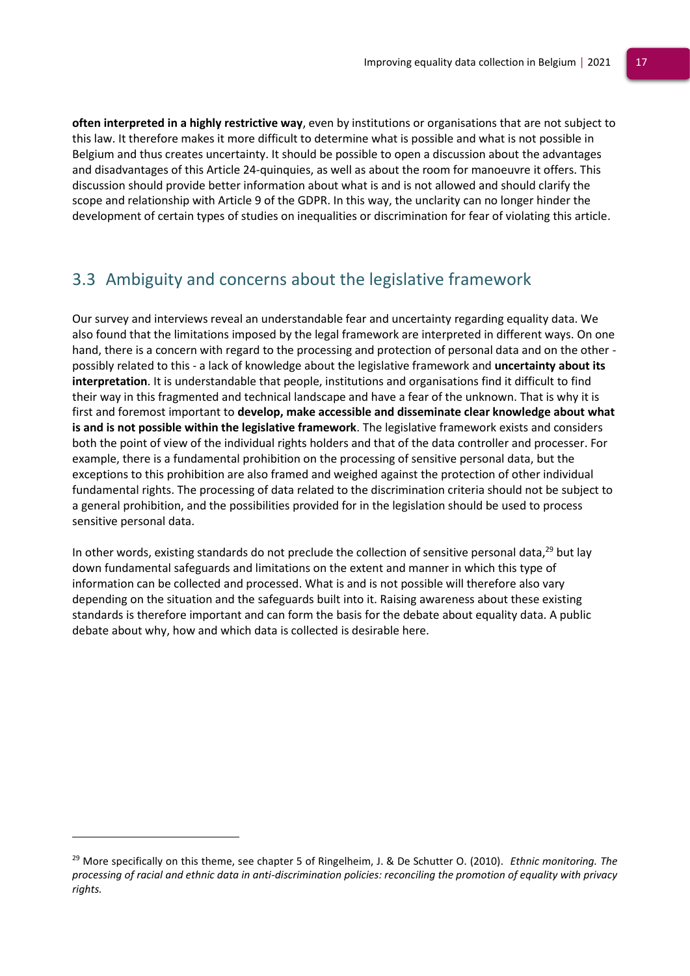**often interpreted in a highly restrictive way**, even by institutions or organisations that are not subject to this law. It therefore makes it more difficult to determine what is possible and what is not possible in Belgium and thus creates uncertainty. It should be possible to open a discussion about the advantages and disadvantages of this Article 24-quinquies, as well as about the room for manoeuvre it offers. This discussion should provide better information about what is and is not allowed and should clarify the scope and relationship with Article 9 of the GDPR. In this way, the unclarity can no longer hinder the development of certain types of studies on inequalities or discrimination for fear of violating this article.

# <span id="page-17-0"></span>3.3 Ambiguity and concerns about the legislative framework

Our survey and interviews reveal an understandable fear and uncertainty regarding equality data. We also found that the limitations imposed by the legal framework are interpreted in different ways. On one hand, there is a concern with regard to the processing and protection of personal data and on the other possibly related to this - a lack of knowledge about the legislative framework and **uncertainty about its interpretation**. It is understandable that people, institutions and organisations find it difficult to find their way in this fragmented and technical landscape and have a fear of the unknown. That is why it is first and foremost important to **develop, make accessible and disseminate clear knowledge about what is and is not possible within the legislative framework**. The legislative framework exists and considers both the point of view of the individual rights holders and that of the data controller and processer. For example, there is a fundamental prohibition on the processing of sensitive personal data, but the exceptions to this prohibition are also framed and weighed against the protection of other individual fundamental rights. The processing of data related to the discrimination criteria should not be subject to a general prohibition, and the possibilities provided for in the legislation should be used to process sensitive personal data.

In other words, existing standards do not preclude the collection of sensitive personal data,<sup>29</sup> but lay down fundamental safeguards and limitations on the extent and manner in which this type of information can be collected and processed. What is and is not possible will therefore also vary depending on the situation and the safeguards built into it. Raising awareness about these existing standards is therefore important and can form the basis for the debate about equality data. A public debate about why, how and which data is collected is desirable here.

<sup>29</sup> More specifically on this theme, see chapter 5 of Ringelheim, J. & De Schutter O. (2010). *Ethnic monitoring. The processing of racial and ethnic data in anti-discrimination policies: reconciling the promotion of equality with privacy rights.*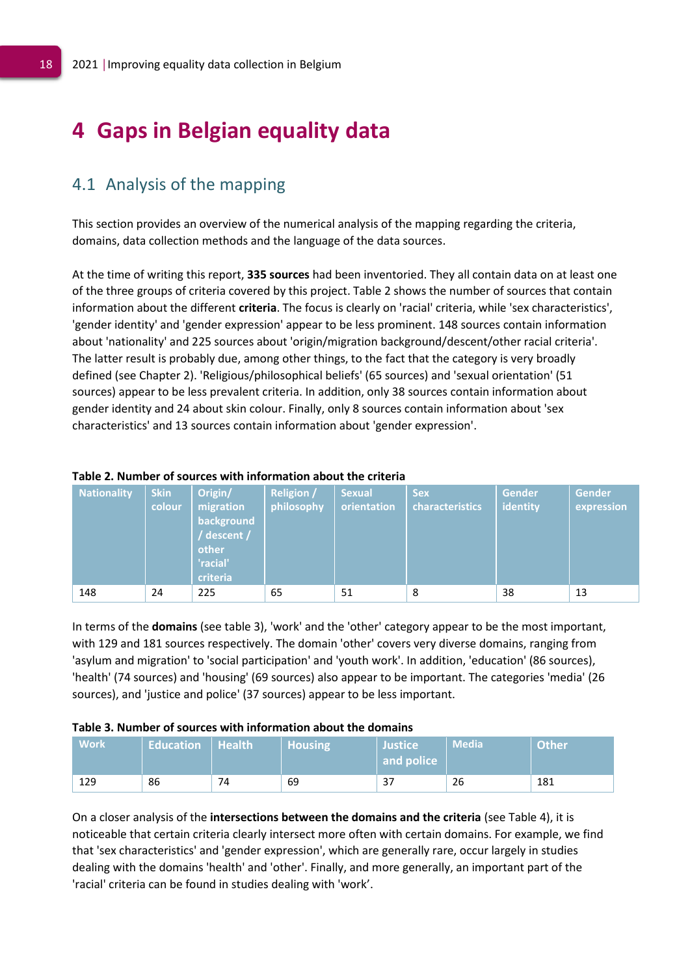# <span id="page-18-0"></span>**4 Gaps in Belgian equality data**

## <span id="page-18-1"></span>4.1 Analysis of the mapping

This section provides an overview of the numerical analysis of the mapping regarding the criteria, domains, data collection methods and the language of the data sources.

At the time of writing this report, **335 sources** had been inventoried. They all contain data on at least one of the three groups of criteria covered by this project. Table 2 shows the number of sources that contain information about the different **criteria**. The focus is clearly on 'racial' criteria, while 'sex characteristics', 'gender identity' and 'gender expression' appear to be less prominent. 148 sources contain information about 'nationality' and 225 sources about 'origin/migration background/descent/other racial criteria'. The latter result is probably due, among other things, to the fact that the category is very broadly defined (see Chapter 2). 'Religious/philosophical beliefs' (65 sources) and 'sexual orientation' (51 sources) appear to be less prevalent criteria. In addition, only 38 sources contain information about gender identity and 24 about skin colour. Finally, only 8 sources contain information about 'sex characteristics' and 13 sources contain information about 'gender expression'.

| <b>Nationality</b> | <b>Skin</b><br>colour | Origin/<br>migration<br>background<br>/ descent /<br>other<br>'racial'<br>criteria | <b>Religion /</b><br>philosophy | <b>Sexual</b><br>orientation | <b>Sex</b><br>characteristics | Gender<br>identity | <b>Gender</b><br>expression |
|--------------------|-----------------------|------------------------------------------------------------------------------------|---------------------------------|------------------------------|-------------------------------|--------------------|-----------------------------|
| 148                | 24                    | 225                                                                                | 65                              | 51                           | 8                             | 38                 | 13                          |

### **Table 2. Number of sources with information about the criteria**

In terms of the **domains** (see table 3), 'work' and the 'other' category appear to be the most important, with 129 and 181 sources respectively. The domain 'other' covers very diverse domains, ranging from 'asylum and migration' to 'social participation' and 'youth work'. In addition, 'education' (86 sources), 'health' (74 sources) and 'housing' (69 sources) also appear to be important. The categories 'media' (26 sources), and 'justice and police' (37 sources) appear to be less important.

#### **Table 3. Number of sources with information about the domains**

| <b>Work</b> | <b>Education Health</b> |    | <b>Housing</b> | <b>Justice</b><br>and police | <b>Media</b> | Other |
|-------------|-------------------------|----|----------------|------------------------------|--------------|-------|
| 129         | 86                      | 74 | 69             | ر د                          | 26           | 181   |

On a closer analysis of the **intersections between the domains and the criteria** (see Table 4), it is noticeable that certain criteria clearly intersect more often with certain domains. For example, we find that 'sex characteristics' and 'gender expression', which are generally rare, occur largely in studies dealing with the domains 'health' and 'other'. Finally, and more generally, an important part of the 'racial' criteria can be found in studies dealing with 'work'.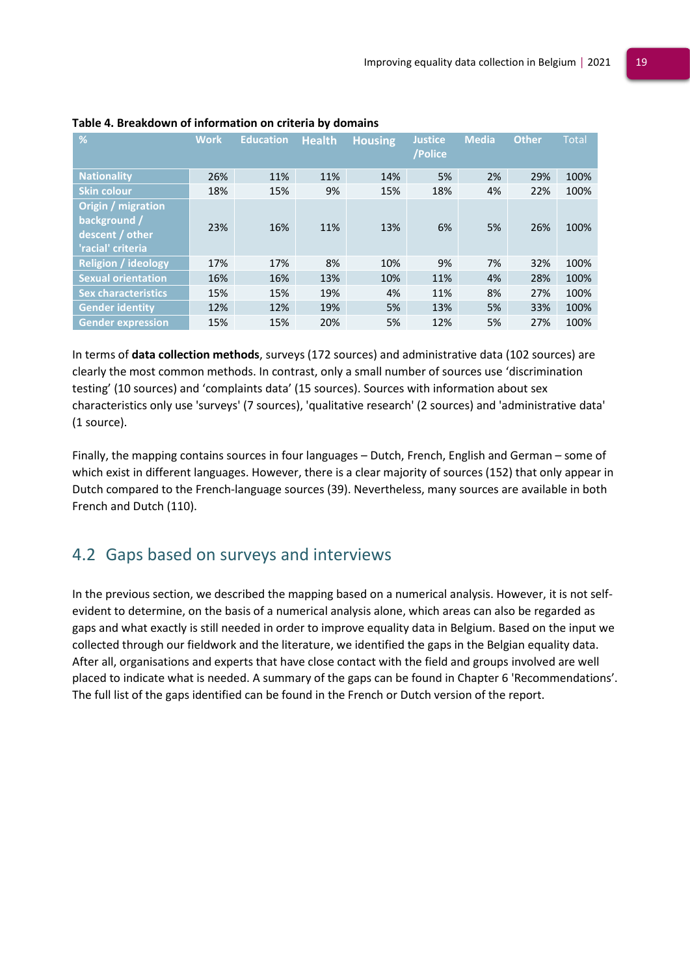| %                                                                          | <b>Work</b> | <b>Education</b> | <b>Health</b> | <b>Housing</b> | <b>Justice</b><br>/Police | <b>Media</b> | <b>Other</b> | <b>Total</b> |
|----------------------------------------------------------------------------|-------------|------------------|---------------|----------------|---------------------------|--------------|--------------|--------------|
| <b>Nationality</b>                                                         | 26%         | 11%              | 11%           | 14%            | 5%                        | 2%           | 29%          | 100%         |
| <b>Skin colour</b>                                                         | 18%         | 15%              | 9%            | 15%            | 18%                       | 4%           | 22%          | 100%         |
| Origin / migration<br>background /<br>descent / other<br>'racial' criteria | 23%         | 16%              | 11%           | 13%            | 6%                        | 5%           | 26%          | 100%         |
| <b>Religion / ideology</b>                                                 | 17%         | 17%              | 8%            | 10%            | 9%                        | 7%           | 32%          | 100%         |
| <b>Sexual orientation</b>                                                  | 16%         | 16%              | 13%           | 10%            | 11%                       | 4%           | 28%          | 100%         |
| <b>Sex characteristics</b>                                                 | 15%         | 15%              | 19%           | 4%             | 11%                       | 8%           | 27%          | 100%         |
| <b>Gender identity</b>                                                     | 12%         | 12%              | 19%           | 5%             | 13%                       | 5%           | 33%          | 100%         |
| <b>Gender expression</b>                                                   | 15%         | 15%              | 20%           | 5%             | 12%                       | 5%           | 27%          | 100%         |

#### **Table 4. Breakdown of information on criteria by domains**

In terms of **data collection methods**, surveys (172 sources) and administrative data (102 sources) are clearly the most common methods. In contrast, only a small number of sources use 'discrimination testing' (10 sources) and 'complaints data' (15 sources). Sources with information about sex characteristics only use 'surveys' (7 sources), 'qualitative research' (2 sources) and 'administrative data' (1 source).

Finally, the mapping contains sources in four languages – Dutch, French, English and German – some of which exist in different languages. However, there is a clear majority of sources (152) that only appear in Dutch compared to the French-language sources (39). Nevertheless, many sources are available in both French and Dutch (110).

# <span id="page-19-0"></span>4.2 Gaps based on surveys and interviews

In the previous section, we described the mapping based on a numerical analysis. However, it is not selfevident to determine, on the basis of a numerical analysis alone, which areas can also be regarded as gaps and what exactly is still needed in order to improve equality data in Belgium. Based on the input we collected through our fieldwork and the literature, we identified the gaps in the Belgian equality data. After all, organisations and experts that have close contact with the field and groups involved are well placed to indicate what is needed. A summary of the gaps can be found in Chapter 6 'Recommendations'. The full list of the gaps identified can be found in the French or Dutch version of the report.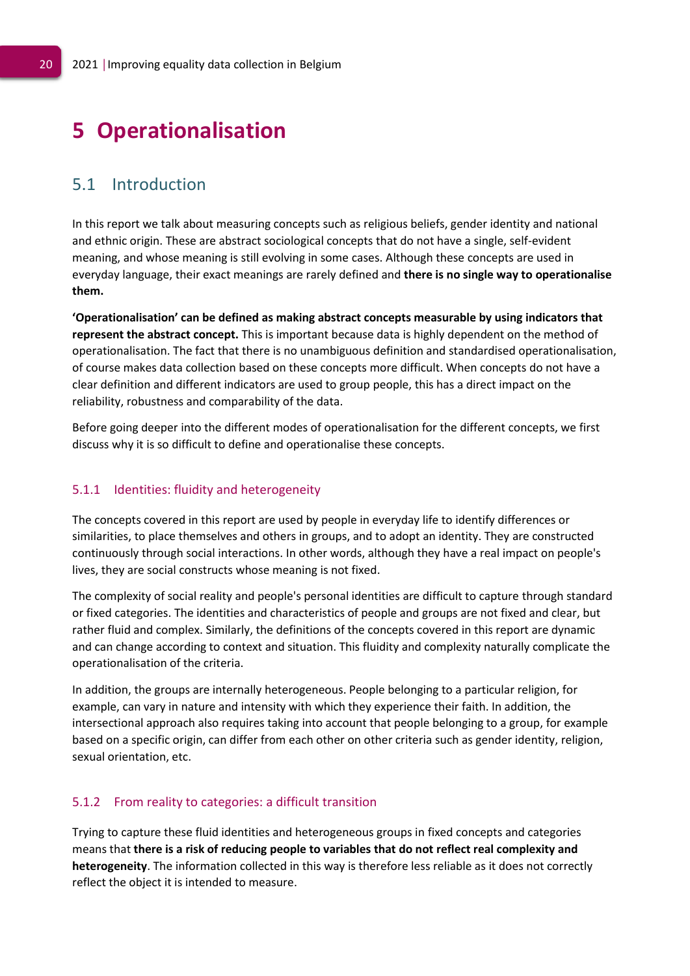# <span id="page-20-0"></span>**5 Operationalisation**

## <span id="page-20-1"></span>5.1 Introduction

In this report we talk about measuring concepts such as religious beliefs, gender identity and national and ethnic origin. These are abstract sociological concepts that do not have a single, self-evident meaning, and whose meaning is still evolving in some cases. Although these concepts are used in everyday language, their exact meanings are rarely defined and **there is no single way to operationalise them.** 

**'Operationalisation' can be defined as making abstract concepts measurable by using indicators that represent the abstract concept.** This is important because data is highly dependent on the method of operationalisation. The fact that there is no unambiguous definition and standardised operationalisation, of course makes data collection based on these concepts more difficult. When concepts do not have a clear definition and different indicators are used to group people, this has a direct impact on the reliability, robustness and comparability of the data.

Before going deeper into the different modes of operationalisation for the different concepts, we first discuss why it is so difficult to define and operationalise these concepts.

### <span id="page-20-2"></span>5.1.1 Identities: fluidity and heterogeneity

The concepts covered in this report are used by people in everyday life to identify differences or similarities, to place themselves and others in groups, and to adopt an identity. They are constructed continuously through social interactions. In other words, although they have a real impact on people's lives, they are social constructs whose meaning is not fixed.

The complexity of social reality and people's personal identities are difficult to capture through standard or fixed categories. The identities and characteristics of people and groups are not fixed and clear, but rather fluid and complex. Similarly, the definitions of the concepts covered in this report are dynamic and can change according to context and situation. This fluidity and complexity naturally complicate the operationalisation of the criteria.

In addition, the groups are internally heterogeneous. People belonging to a particular religion, for example, can vary in nature and intensity with which they experience their faith. In addition, the intersectional approach also requires taking into account that people belonging to a group, for example based on a specific origin, can differ from each other on other criteria such as gender identity, religion, sexual orientation, etc.

### <span id="page-20-3"></span>5.1.2 From reality to categories: a difficult transition

Trying to capture these fluid identities and heterogeneous groups in fixed concepts and categories means that **there is a risk of reducing people to variables that do not reflect real complexity and heterogeneity**. The information collected in this way is therefore less reliable as it does not correctly reflect the object it is intended to measure.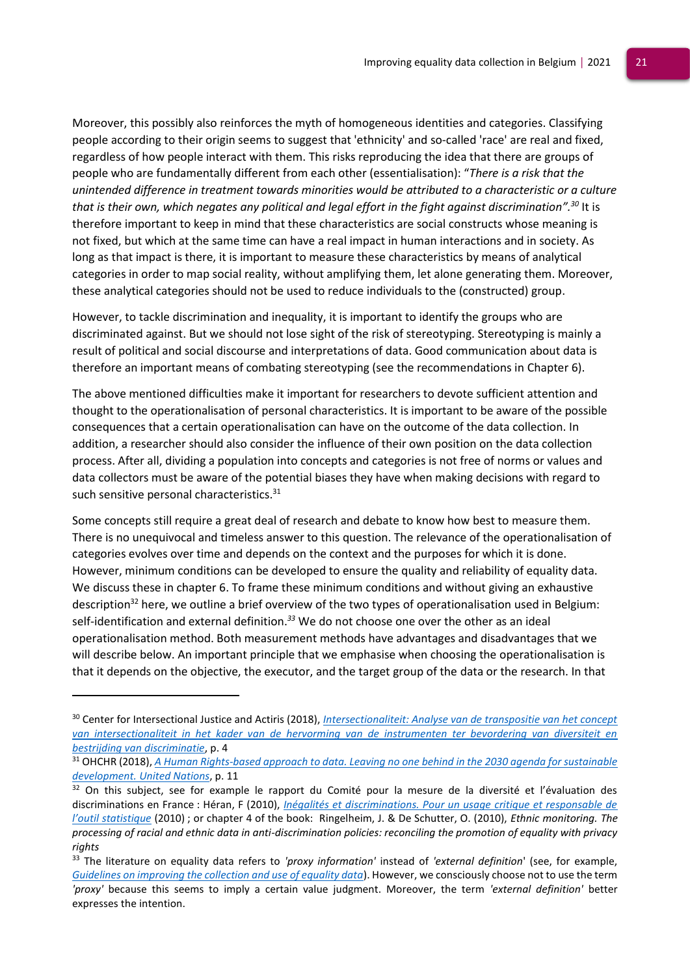Moreover, this possibly also reinforces the myth of homogeneous identities and categories. Classifying people according to their origin seems to suggest that 'ethnicity' and so-called 'race' are real and fixed, regardless of how people interact with them. This risks reproducing the idea that there are groups of people who are fundamentally different from each other (essentialisation): "*There is a risk that the unintended difference in treatment towards minorities would be attributed to a characteristic or a culture that is their own, which negates any political and legal effort in the fight against discrimination". <sup>30</sup>* It is therefore important to keep in mind that these characteristics are social constructs whose meaning is not fixed, but which at the same time can have a real impact in human interactions and in society. As long as that impact is there, it is important to measure these characteristics by means of analytical categories in order to map social reality, without amplifying them, let alone generating them. Moreover, these analytical categories should not be used to reduce individuals to the (constructed) group.

However, to tackle discrimination and inequality, it is important to identify the groups who are discriminated against. But we should not lose sight of the risk of stereotyping. Stereotyping is mainly a result of political and social discourse and interpretations of data. Good communication about data is therefore an important means of combating stereotyping (see the recommendations in Chapter 6).

The above mentioned difficulties make it important for researchers to devote sufficient attention and thought to the operationalisation of personal characteristics. It is important to be aware of the possible consequences that a certain operationalisation can have on the outcome of the data collection. In addition, a researcher should also consider the influence of their own position on the data collection process. After all, dividing a population into concepts and categories is not free of norms or values and data collectors must be aware of the potential biases they have when making decisions with regard to such sensitive personal characteristics.<sup>31</sup>

Some concepts still require a great deal of research and debate to know how best to measure them. There is no unequivocal and timeless answer to this question. The relevance of the operationalisation of categories evolves over time and depends on the context and the purposes for which it is done. However, minimum conditions can be developed to ensure the quality and reliability of equality data. We discuss these in chapter 6. To frame these minimum conditions and without giving an exhaustive description<sup>32</sup> here, we outline a brief overview of the two types of operationalisation used in Belgium: self-identification and external definition. *<sup>33</sup>* We do not choose one over the other as an ideal operationalisation method. Both measurement methods have advantages and disadvantages that we will describe below. An important principle that we emphasise when choosing the operationalisation is that it depends on the objective, the executor, and the target group of the data or the research. In that

<sup>30</sup> Center for Intersectional Justice and Actiris (2018), *[Intersectionaliteit: Analyse van de transpositie van het concept](https://cdn.uc.assets.prezly.com/5f0ad25c-3375-4491-8281-5bd724e5cd10/-/inline/no/)  [van intersectionaliteit in het kader van de hervorming van de instrumenten ter bevordering van diversiteit en](https://cdn.uc.assets.prezly.com/5f0ad25c-3375-4491-8281-5bd724e5cd10/-/inline/no/)  [bestrijding van discriminatie](https://cdn.uc.assets.prezly.com/5f0ad25c-3375-4491-8281-5bd724e5cd10/-/inline/no/)*, p. 4

<sup>31</sup> OHCHR (2018), *[A Human Rights-based approach to data. Leaving no one behind in the 2030 agenda for sustainable](https://www.ohchr.org/Documents/Issues/HRIndicators/GuidanceNoteonApproachtoData.pdf)  [development. United Nations](https://www.ohchr.org/Documents/Issues/HRIndicators/GuidanceNoteonApproachtoData.pdf)*, p. 11

 $32$  On this subject, see for example le rapport du Comité pour la mesure de la diversité et l'évaluation des discriminations en France : Héran, F (2010), *[Inégalités et discriminations. Pour un usage critique et responsable de](https://www.vie-publique.fr/rapport/30934-inegalites-et-discriminations-usage-critique-et-responsable-statistiques)  [l'outil statistique](https://www.vie-publique.fr/rapport/30934-inegalites-et-discriminations-usage-critique-et-responsable-statistiques)* (2010) ; or chapter 4 of the book: Ringelheim, J. & De Schutter, O. (2010), *Ethnic monitoring. The processing of racial and ethnic data in anti-discrimination policies: reconciling the promotion of equality with privacy rights* 

<sup>33</sup> The literature on equality data refers to *'proxy information'* instead of *'external definition*' (see, for example, *[Guidelines on improving the collection and use of equality data](https://fra.europa.eu/sites/default/files/fra_uploads/ec-july-2018-guidelines-equality-data-collection.pdf)*). However, we consciously choose not to use the term *'proxy'* because this seems to imply a certain value judgment. Moreover, the term *'external definition'* better expresses the intention.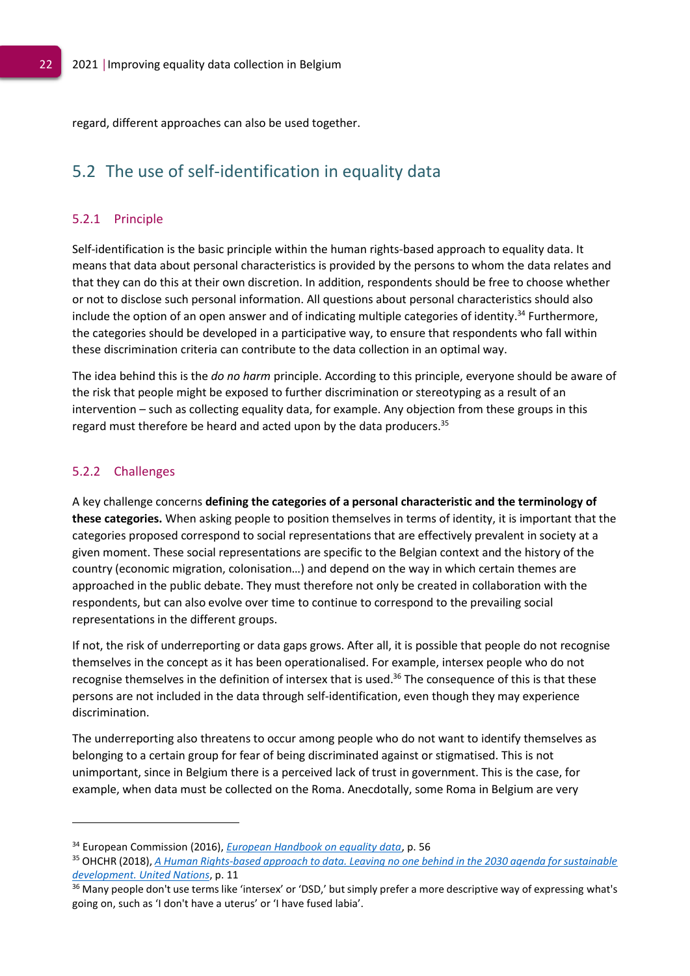regard, different approaches can also be used together.

## <span id="page-22-0"></span>5.2 The use of self-identification in equality data

### <span id="page-22-1"></span>5.2.1 Principle

Self-identification is the basic principle within the human rights-based approach to equality data. It means that data about personal characteristics is provided by the persons to whom the data relates and that they can do this at their own discretion. In addition, respondents should be free to choose whether or not to disclose such personal information. All questions about personal characteristics should also include the option of an open answer and of indicating multiple categories of identity. <sup>34</sup> Furthermore, the categories should be developed in a participative way, to ensure that respondents who fall within these discrimination criteria can contribute to the data collection in an optimal way.

The idea behind this is the *do no harm* principle. According to this principle, everyone should be aware of the risk that people might be exposed to further discrimination or stereotyping as a result of an intervention – such as collecting equality data, for example. Any objection from these groups in this regard must therefore be heard and acted upon by the data producers.<sup>35</sup>

### <span id="page-22-2"></span>5.2.2 Challenges

A key challenge concerns **defining the categories of a personal characteristic and the terminology of these categories.** When asking people to position themselves in terms of identity, it is important that the categories proposed correspond to social representations that are effectively prevalent in society at a given moment. These social representations are specific to the Belgian context and the history of the country (economic migration, colonisation…) and depend on the way in which certain themes are approached in the public debate. They must therefore not only be created in collaboration with the respondents, but can also evolve over time to continue to correspond to the prevailing social representations in the different groups.

If not, the risk of underreporting or data gaps grows. After all, it is possible that people do not recognise themselves in the concept as it has been operationalised. For example, intersex people who do not recognise themselves in the definition of intersex that is used. <sup>36</sup> The consequence of this is that these persons are not included in the data through self-identification, even though they may experience discrimination.

The underreporting also threatens to occur among people who do not want to identify themselves as belonging to a certain group for fear of being discriminated against or stigmatised. This is not unimportant, since in Belgium there is a perceived lack of trust in government. This is the case, for example, when data must be collected on the Roma. Anecdotally, some Roma in Belgium are very

<sup>34</sup> European Commission (2016), *[European Handbook on equality data](https://ec.europa.eu/newsroom/just/document.cfm?action=display&doc_id=43205)*, p. 56

<sup>35</sup> OHCHR (2018), *[A Human Rights-based approach to data. Leaving no one behind in the 2030 agenda for sustainable](https://www.ohchr.org/Documents/Issues/HRIndicators/GuidanceNoteonApproachtoData.pdf)  [development. United Nations](https://www.ohchr.org/Documents/Issues/HRIndicators/GuidanceNoteonApproachtoData.pdf)*, p. 11

<sup>&</sup>lt;sup>36</sup> Many people don't use terms like 'intersex' or 'DSD,' but simply prefer a more descriptive way of expressing what's going on, such as 'I don't have a uterus' or 'I have fused labia'.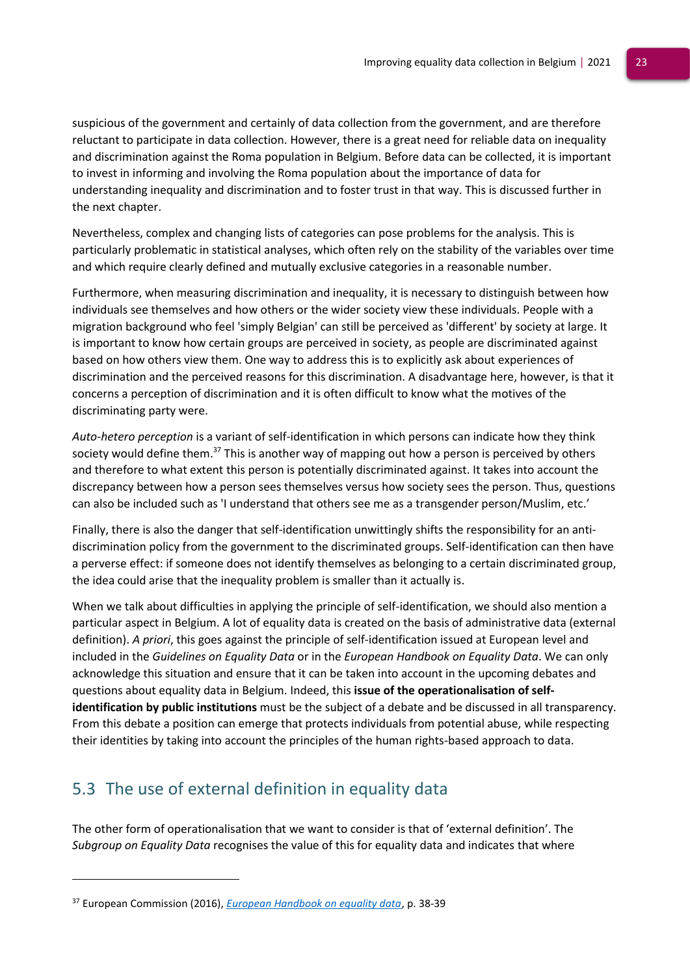suspicious of the government and certainly of data collection from the government, and are therefore reluctant to participate in data collection. However, there is a great need for reliable data on inequality and discrimination against the Roma population in Belgium. Before data can be collected, it is important to invest in informing and involving the Roma population about the importance of data for understanding inequality and discrimination and to foster trust in that way. This is discussed further in the next chapter.

Nevertheless, complex and changing lists of categories can pose problems for the analysis. This is particularly problematic in statistical analyses, which often rely on the stability of the variables over time and which require clearly defined and mutually exclusive categories in a reasonable number.

Furthermore, when measuring discrimination and inequality, it is necessary to distinguish between how individuals see themselves and how others or the wider society view these individuals. People with a migration background who feel 'simply Belgian' can still be perceived as 'different' by society at large. It is important to know how certain groups are perceived in society, as people are discriminated against based on how others view them. One way to address this is to explicitly ask about experiences of discrimination and the perceived reasons for this discrimination. A disadvantage here, however, is that it concerns a perception of discrimination and it is often difficult to know what the motives of the discriminating party were.

*Auto-hetero perception* is a variant of self-identification in which persons can indicate how they think society would define them.<sup>37</sup> This is another way of mapping out how a person is perceived by others and therefore to what extent this person is potentially discriminated against. It takes into account the discrepancy between how a person sees themselves versus how society sees the person. Thus, questions can also be included such as 'I understand that others see me as a transgender person/Muslim, etc.'

Finally, there is also the danger that self-identification unwittingly shifts the responsibility for an antidiscrimination policy from the government to the discriminated groups. Self-identification can then have a perverse effect: if someone does not identify themselves as belonging to a certain discriminated group, the idea could arise that the inequality problem is smaller than it actually is.

When we talk about difficulties in applying the principle of self-identification, we should also mention a particular aspect in Belgium. A lot of equality data is created on the basis of administrative data (external definition). *A priori*, this goes against the principle of self-identification issued at European level and included in the *Guidelines on Equality Data* or in the *European Handbook on Equality Data*. We can only acknowledge this situation and ensure that it can be taken into account in the upcoming debates and questions about equality data in Belgium. Indeed, this **issue of the operationalisation of selfidentification by public institutions** must be the subject of a debate and be discussed in all transparency. From this debate a position can emerge that protects individuals from potential abuse, while respecting their identities by taking into account the principles of the human rights-based approach to data.

# <span id="page-23-0"></span>5.3 The use of external definition in equality data

The other form of operationalisation that we want to consider is that of 'external definition'. The *Subgroup on Equality Data* recognises the value of this for equality data and indicates that where

<sup>37</sup> European Commission (2016), *[European Handbook on equality data](https://ec.europa.eu/newsroom/just/document.cfm?action=display&doc_id=43205)*, p. 38-39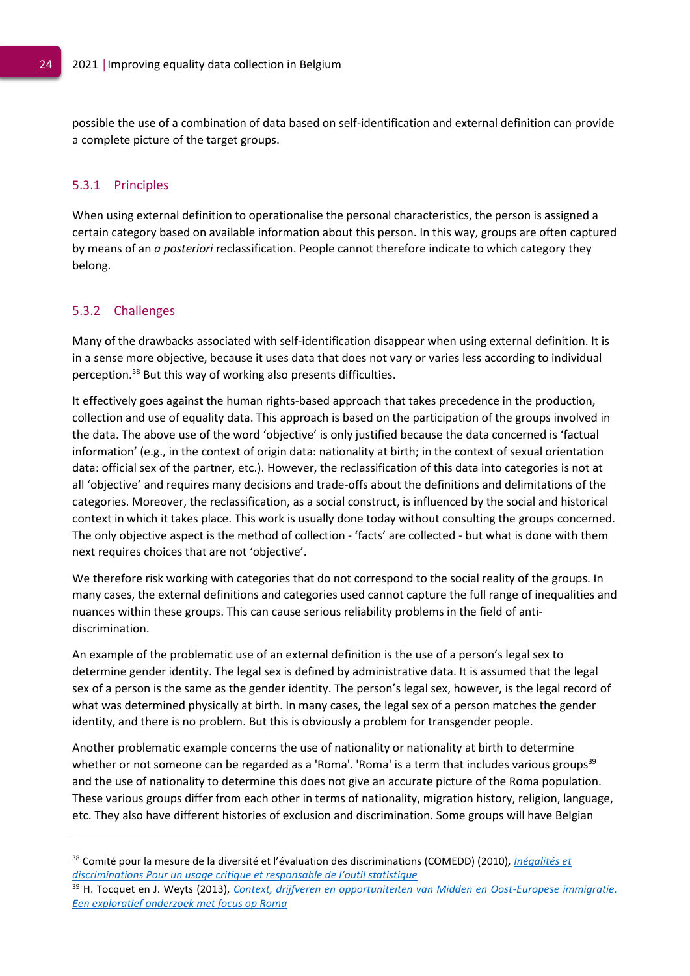possible the use of a combination of data based on self-identification and external definition can provide a complete picture of the target groups.

#### <span id="page-24-0"></span>5.3.1 Principles

When using external definition to operationalise the personal characteristics, the person is assigned a certain category based on available information about this person. In this way, groups are often captured by means of an *a posteriori* reclassification. People cannot therefore indicate to which category they belong.

#### <span id="page-24-1"></span>5.3.2 Challenges

Many of the drawbacks associated with self-identification disappear when using external definition. It is in a sense more objective, because it uses data that does not vary or varies less according to individual perception. <sup>38</sup> But this way of working also presents difficulties.

It effectively goes against the human rights-based approach that takes precedence in the production, collection and use of equality data. This approach is based on the participation of the groups involved in the data. The above use of the word 'objective' is only justified because the data concerned is 'factual information' (e.g., in the context of origin data: nationality at birth; in the context of sexual orientation data: official sex of the partner, etc.). However, the reclassification of this data into categories is not at all 'objective' and requires many decisions and trade-offs about the definitions and delimitations of the categories. Moreover, the reclassification, as a social construct, is influenced by the social and historical context in which it takes place. This work is usually done today without consulting the groups concerned. The only objective aspect is the method of collection - 'facts' are collected - but what is done with them next requires choices that are not 'objective'.

We therefore risk working with categories that do not correspond to the social reality of the groups. In many cases, the external definitions and categories used cannot capture the full range of inequalities and nuances within these groups. This can cause serious reliability problems in the field of antidiscrimination.

An example of the problematic use of an external definition is the use of a person's legal sex to determine gender identity. The legal sex is defined by administrative data. It is assumed that the legal sex of a person is the same as the gender identity. The person's legal sex, however, is the legal record of what was determined physically at birth. In many cases, the legal sex of a person matches the gender identity, and there is no problem. But this is obviously a problem for transgender people.

Another problematic example concerns the use of nationality or nationality at birth to determine whether or not someone can be regarded as a 'Roma'. 'Roma' is a term that includes various groups<sup>39</sup> and the use of nationality to determine this does not give an accurate picture of the Roma population. These various groups differ from each other in terms of nationality, migration history, religion, language, etc. They also have different histories of exclusion and discrimination. Some groups will have Belgian

<sup>38</sup> Comité pour la mesure de la diversité et l'évaluation des discriminations (COMEDD) (2010)*[, Inégalités et](https://www.vie-publique.fr/rapport/30934-inegalites-et-discriminations-usage-critique-et-responsable-statistiques)  discriminations Pour un usage cri[tique et responsable de l'outil statistique](https://www.vie-publique.fr/rapport/30934-inegalites-et-discriminations-usage-critique-et-responsable-statistiques)*

<sup>39</sup> H. Tocquet en J. Weyts (2013), *[Context, drijfveren en opportuniteiten van Midden en Oost-Europese immigratie.](https://limo.libis.be/primo-explore/fulldisplay?docid=LIRIAS1863675&context=L&vid=Lirias&search_scope=Lirias&tab=default_tab&lang=en_US&fromSitemap=1)  [Een exploratief onderzoek met focus op Roma](https://limo.libis.be/primo-explore/fulldisplay?docid=LIRIAS1863675&context=L&vid=Lirias&search_scope=Lirias&tab=default_tab&lang=en_US&fromSitemap=1)*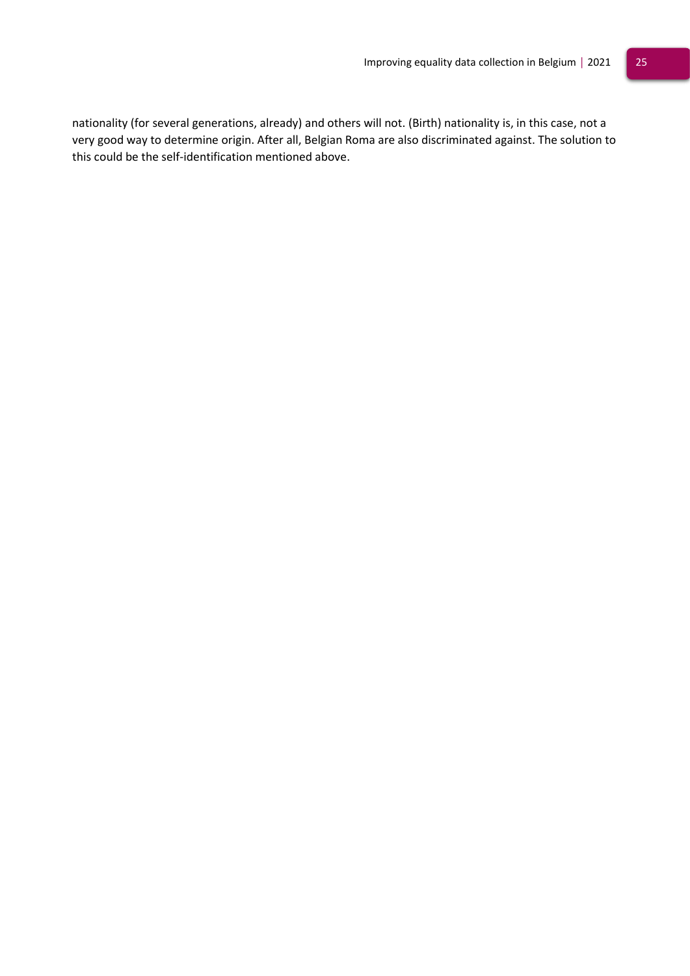nationality (for several generations, already) and others will not. (Birth) nationality is, in this case, not a very good way to determine origin. After all, Belgian Roma are also discriminated against. The solution to this could be the self-identification mentioned above.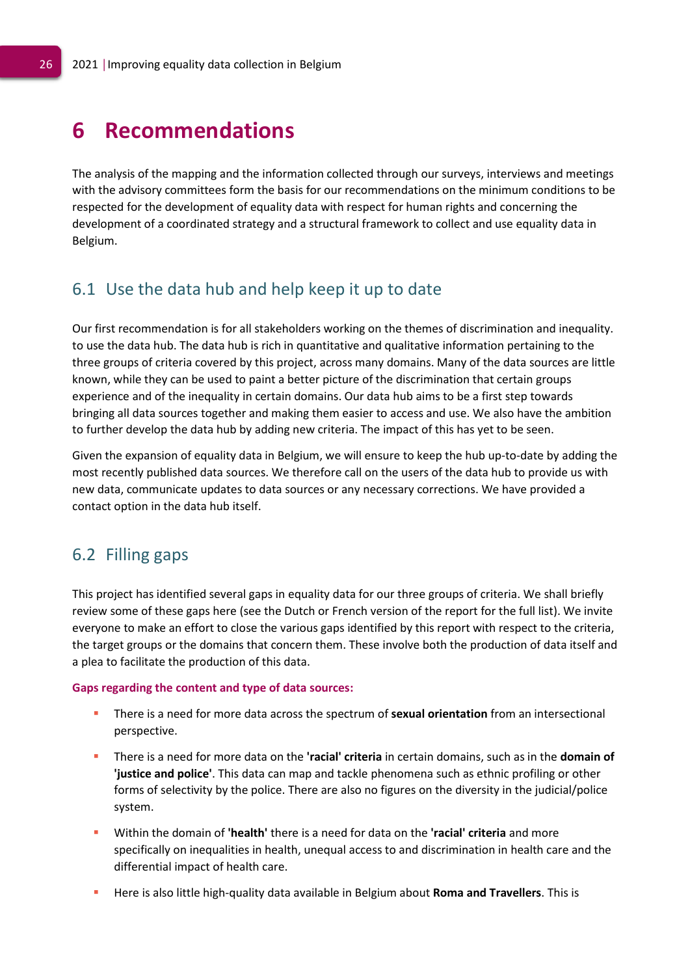# <span id="page-26-0"></span>**6 Recommendations**

The analysis of the mapping and the information collected through our surveys, interviews and meetings with the advisory committees form the basis for our recommendations on the minimum conditions to be respected for the development of equality data with respect for human rights and concerning the development of a coordinated strategy and a structural framework to collect and use equality data in Belgium.

## <span id="page-26-1"></span>6.1 Use the data hub and help keep it up to date

Our first recommendation is for all stakeholders working on the themes of discrimination and inequality. to use the data hub. The data hub is rich in quantitative and qualitative information pertaining to the three groups of criteria covered by this project, across many domains. Many of the data sources are little known, while they can be used to paint a better picture of the discrimination that certain groups experience and of the inequality in certain domains. Our data hub aims to be a first step towards bringing all data sources together and making them easier to access and use. We also have the ambition to further develop the data hub by adding new criteria. The impact of this has yet to be seen.

Given the expansion of equality data in Belgium, we will ensure to keep the hub up-to-date by adding the most recently published data sources. We therefore call on the users of the data hub to provide us with new data, communicate updates to data sources or any necessary corrections. We have provided a contact option in the data hub itself.

## <span id="page-26-2"></span>6.2 Filling gaps

This project has identified several gaps in equality data for our three groups of criteria. We shall briefly review some of these gaps here (see the Dutch or French version of the report for the full list). We invite everyone to make an effort to close the various gaps identified by this report with respect to the criteria, the target groups or the domains that concern them. These involve both the production of data itself and a plea to facilitate the production of this data.

#### **Gaps regarding the content and type of data sources:**

- **EXTERGHTM** There is a need for more data across the spectrum of **sexual orientation** from an intersectional perspective.
- There is a need for more data on the **'racial' criteria** in certain domains, such as in the **domain of 'justice and police'**. This data can map and tackle phenomena such as ethnic profiling or other forms of selectivity by the police. There are also no figures on the diversity in the judicial/police system.
- Within the domain of **'health'** there is a need for data on the **'racial' criteria** and more specifically on inequalities in health, unequal access to and discrimination in health care and the differential impact of health care.
- Here is also little high-quality data available in Belgium about **Roma and Travellers**. This is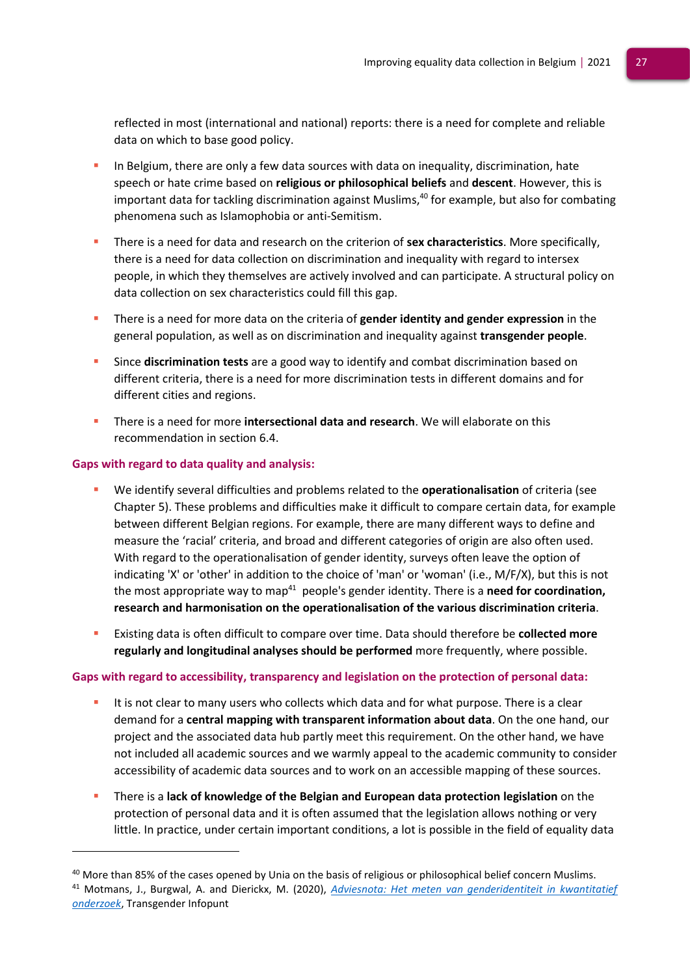reflected in most (international and national) reports: there is a need for complete and reliable data on which to base good policy.

- In Belgium, there are only a few data sources with data on inequality, discrimination, hate speech or hate crime based on **religious or philosophical beliefs** and **descent**. However, this is important data for tackling discrimination against Muslims, <sup>40</sup> for example, but also for combating phenomena such as Islamophobia or anti-Semitism.
- There is a need for data and research on the criterion of **sex characteristics**. More specifically, there is a need for data collection on discrimination and inequality with regard to intersex people, in which they themselves are actively involved and can participate. A structural policy on data collection on sex characteristics could fill this gap.
- **EXECUTE:** There is a need for more data on the criteria of **gender identity and gender expression** in the general population, as well as on discrimination and inequality against **transgender people**.
- Since **discrimination tests** are a good way to identify and combat discrimination based on different criteria, there is a need for more discrimination tests in different domains and for different cities and regions.
- There is a need for more **intersectional data and research**. We will elaborate on this recommendation in section 6.4.

### **Gaps with regard to data quality and analysis:**

- We identify several difficulties and problems related to the **operationalisation** of criteria (see Chapter 5). These problems and difficulties make it difficult to compare certain data, for example between different Belgian regions. For example, there are many different ways to define and measure the 'racial' criteria, and broad and different categories of origin are also often used. With regard to the operationalisation of gender identity, surveys often leave the option of indicating 'X' or 'other' in addition to the choice of 'man' or 'woman' (i.e., M/F/X), but this is not the most appropriate way to map<sup>41</sup> people's gender identity. There is a **need for coordination, research and harmonisation on the operationalisation of the various discrimination criteria**.
- Existing data is often difficult to compare over time. Data should therefore be **collected more regularly and longitudinal analyses should be performed** more frequently, where possible.

#### **Gaps with regard to accessibility, transparency and legislation on the protection of personal data:**

- It is not clear to many users who collects which data and for what purpose. There is a clear demand for a **central mapping with transparent information about data**. On the one hand, our project and the associated data hub partly meet this requirement. On the other hand, we have not included all academic sources and we warmly appeal to the academic community to consider accessibility of academic data sources and to work on an accessible mapping of these sources.
- There is a **lack of knowledge of the Belgian and European data protection legislation** on the protection of personal data and it is often assumed that the legislation allows nothing or very little. In practice, under certain important conditions, a lot is possible in the field of equality data

<sup>&</sup>lt;sup>40</sup> More than 85% of the cases opened by Unia on the basis of religious or philosophical belief concern Muslims. <sup>41</sup> Motmans, J., Burgwal, A. and Dierickx, M. (2020), *[Adviesnota: Het meten van genderidentiteit in kwantitatief](https://transgenderinfo.be/wp-content/uploads/Adviesnota_Motmans_Burgwal_Dierckx_2020.pdf)  [onderzoek](https://transgenderinfo.be/wp-content/uploads/Adviesnota_Motmans_Burgwal_Dierckx_2020.pdf)*, Transgender Infopunt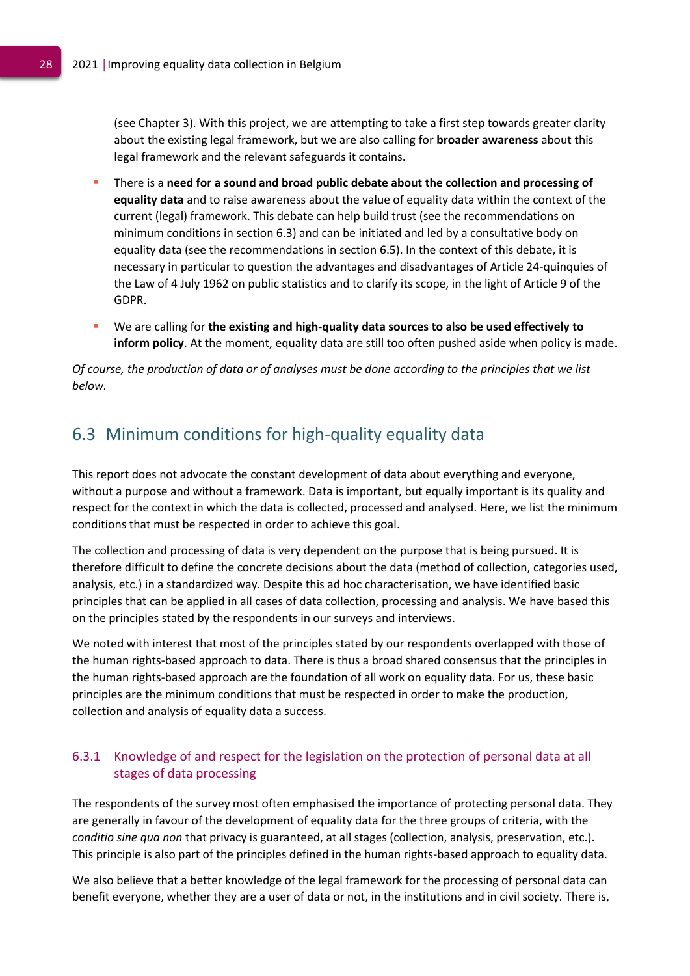(see Chapter 3). With this project, we are attempting to take a first step towards greater clarity about the existing legal framework, but we are also calling for **broader awareness** about this legal framework and the relevant safeguards it contains.

- There is a need for a sound and broad public debate about the collection and processing of **equality data** and to raise awareness about the value of equality data within the context of the current (legal) framework. This debate can help build trust (see the recommendations on minimum conditions in section 6.3) and can be initiated and led by a consultative body on equality data (see the recommendations in section 6.5). In the context of this debate, it is necessary in particular to question the advantages and disadvantages of Article 24-quinquies of the Law of 4 July 1962 on public statistics and to clarify its scope, in the light of Article 9 of the GDPR.
- We are calling for **the existing and high-quality data sources to also be used effectively to inform policy**. At the moment, equality data are still too often pushed aside when policy is made.

*Of course, the production of data or of analyses must be done according to the principles that we list below.*

# <span id="page-28-0"></span>6.3 Minimum conditions for high-quality equality data

This report does not advocate the constant development of data about everything and everyone, without a purpose and without a framework. Data is important, but equally important is its quality and respect for the context in which the data is collected, processed and analysed. Here, we list the minimum conditions that must be respected in order to achieve this goal.

The collection and processing of data is very dependent on the purpose that is being pursued. It is therefore difficult to define the concrete decisions about the data (method of collection, categories used, analysis, etc.) in a standardized way. Despite this ad hoc characterisation, we have identified basic principles that can be applied in all cases of data collection, processing and analysis. We have based this on the principles stated by the respondents in our surveys and interviews.

We noted with interest that most of the principles stated by our respondents overlapped with those of the human rights-based approach to data. There is thus a broad shared consensus that the principles in the human rights-based approach are the foundation of all work on equality data. For us, these basic principles are the minimum conditions that must be respected in order to make the production, collection and analysis of equality data a success.

### <span id="page-28-1"></span>6.3.1 Knowledge of and respect for the legislation on the protection of personal data at all stages of data processing

The respondents of the survey most often emphasised the importance of protecting personal data. They are generally in favour of the development of equality data for the three groups of criteria, with the *conditio sine qua non* that privacy is guaranteed, at all stages (collection, analysis, preservation, etc.). This principle is also part of the principles defined in the human rights-based approach to equality data.

We also believe that a better knowledge of the legal framework for the processing of personal data can benefit everyone, whether they are a user of data or not, in the institutions and in civil society. There is,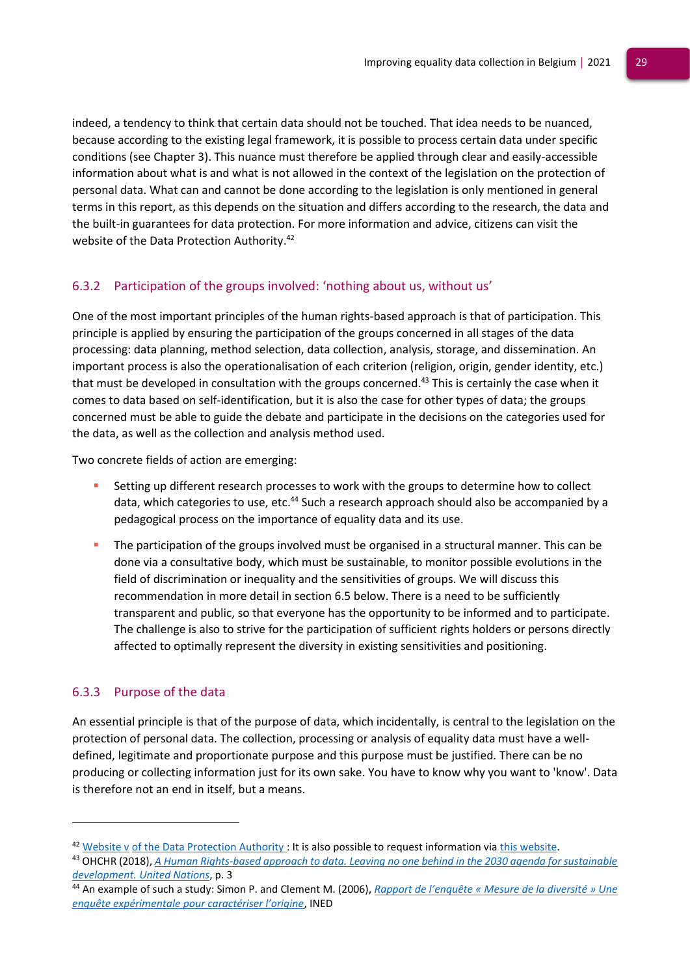indeed, a tendency to think that certain data should not be touched. That idea needs to be nuanced, because according to the existing legal framework, it is possible to process certain data under specific conditions (see Chapter 3). This nuance must therefore be applied through clear and easily-accessible information about what is and what is not allowed in the context of the legislation on the protection of personal data. What can and cannot be done according to the legislation is only mentioned in general terms in this report, as this depends on the situation and differs according to the research, the data and the built-in guarantees for data protection. For more information and advice, citizens can visit the website of the Data Protection Authority.<sup>42</sup>

### <span id="page-29-0"></span>6.3.2 Participation of the groups involved: 'nothing about us, without us'

One of the most important principles of the human rights-based approach is that of participation. This principle is applied by ensuring the participation of the groups concerned in all stages of the data processing: data planning, method selection, data collection, analysis, storage, and dissemination. An important process is also the operationalisation of each criterion (religion, origin, gender identity, etc.) that must be developed in consultation with the groups concerned.<sup>43</sup> This is certainly the case when it comes to data based on self-identification, but it is also the case for other types of data; the groups concerned must be able to guide the debate and participate in the decisions on the categories used for the data, as well as the collection and analysis method used.

Two concrete fields of action are emerging:

- Setting up different research processes to work with the groups to determine how to collect data, which categories to use, etc.<sup>44</sup> Such a research approach should also be accompanied by a pedagogical process on the importance of equality data and its use.
- The participation of the groups involved must be organised in a structural manner. This can be done via a consultative body, which must be sustainable, to monitor possible evolutions in the field of discrimination or inequality and the sensitivities of groups. We will discuss this recommendation in more detail in section 6.5 below. There is a need to be sufficiently transparent and public, so that everyone has the opportunity to be informed and to participate. The challenge is also to strive for the participation of sufficient rights holders or persons directly affected to optimally represent the diversity in existing sensitivities and positioning.

### <span id="page-29-1"></span>6.3.3 Purpose of the data

An essential principle is that of the purpose of data, which incidentally, is central to the legislation on the protection of personal data. The collection, processing or analysis of equality data must have a welldefined, legitimate and proportionate purpose and this purpose must be justified. There can be no producing or collecting information just for its own sake. You have to know why you want to 'know'. Data is therefore not an end in itself, but a means.

 $42$  Website v [of the Data Protection Authority :](https://gegevensbeschermingsautoriteit.be/burger) It is also possible to request information vi[a this website.](https://gegevensbeschermingsautoriteit.be/burger/acties/informatie-aanvragen)

<sup>43</sup> OHCHR (2018), *[A Human Rights-based approach to data. Leaving no one behind in the 2030 agenda for sustainable](https://www.ohchr.org/Documents/Issues/HRIndicators/GuidanceNoteonApproachtoData.pdf)  [development. United Nations](https://www.ohchr.org/Documents/Issues/HRIndicators/GuidanceNoteonApproachtoData.pdf)*, p. 3

<sup>44</sup> An example of such a study: Simon P. and Clement M. (2006), *[Rapport de l'enquête « Mesure de la diversit](https://www.ined.fr/fr/publications/editions/document-travail/rapport-de-l-enquete-mesure-de-la-diversite-une-enquete-experimentale-pour-caracteriser-l-origine/)é » Une [enquête expérimentale pour caractériser l'origine](https://www.ined.fr/fr/publications/editions/document-travail/rapport-de-l-enquete-mesure-de-la-diversite-une-enquete-experimentale-pour-caracteriser-l-origine/)*, INED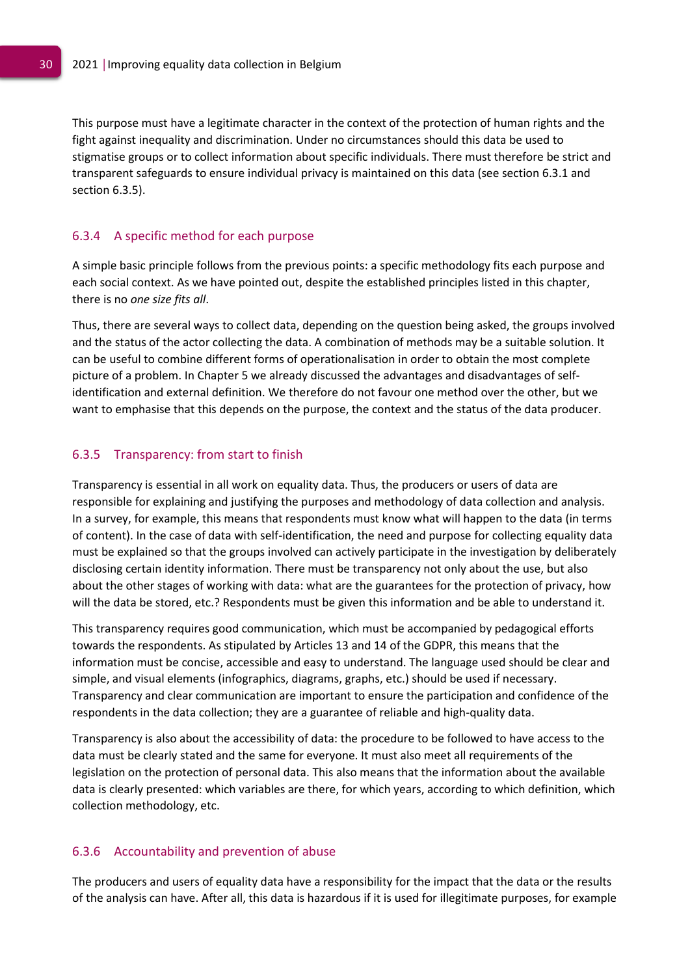This purpose must have a legitimate character in the context of the protection of human rights and the fight against inequality and discrimination. Under no circumstances should this data be used to stigmatise groups or to collect information about specific individuals. There must therefore be strict and transparent safeguards to ensure individual privacy is maintained on this data (see section 6.3.1 and section 6.3.5).

### <span id="page-30-0"></span>6.3.4 A specific method for each purpose

A simple basic principle follows from the previous points: a specific methodology fits each purpose and each social context. As we have pointed out, despite the established principles listed in this chapter, there is no *one size fits all*.

Thus, there are several ways to collect data, depending on the question being asked, the groups involved and the status of the actor collecting the data. A combination of methods may be a suitable solution. It can be useful to combine different forms of operationalisation in order to obtain the most complete picture of a problem. In Chapter 5 we already discussed the advantages and disadvantages of selfidentification and external definition. We therefore do not favour one method over the other, but we want to emphasise that this depends on the purpose, the context and the status of the data producer.

### <span id="page-30-1"></span>6.3.5 Transparency: from start to finish

Transparency is essential in all work on equality data. Thus, the producers or users of data are responsible for explaining and justifying the purposes and methodology of data collection and analysis. In a survey, for example, this means that respondents must know what will happen to the data (in terms of content). In the case of data with self-identification, the need and purpose for collecting equality data must be explained so that the groups involved can actively participate in the investigation by deliberately disclosing certain identity information. There must be transparency not only about the use, but also about the other stages of working with data: what are the guarantees for the protection of privacy, how will the data be stored, etc.? Respondents must be given this information and be able to understand it.

This transparency requires good communication, which must be accompanied by pedagogical efforts towards the respondents. As stipulated by Articles 13 and 14 of the GDPR, this means that the information must be concise, accessible and easy to understand. The language used should be clear and simple, and visual elements (infographics, diagrams, graphs, etc.) should be used if necessary. Transparency and clear communication are important to ensure the participation and confidence of the respondents in the data collection; they are a guarantee of reliable and high-quality data.

Transparency is also about the accessibility of data: the procedure to be followed to have access to the data must be clearly stated and the same for everyone. It must also meet all requirements of the legislation on the protection of personal data. This also means that the information about the available data is clearly presented: which variables are there, for which years, according to which definition, which collection methodology, etc.

#### <span id="page-30-2"></span>6.3.6 Accountability and prevention of abuse

The producers and users of equality data have a responsibility for the impact that the data or the results of the analysis can have. After all, this data is hazardous if it is used for illegitimate purposes, for example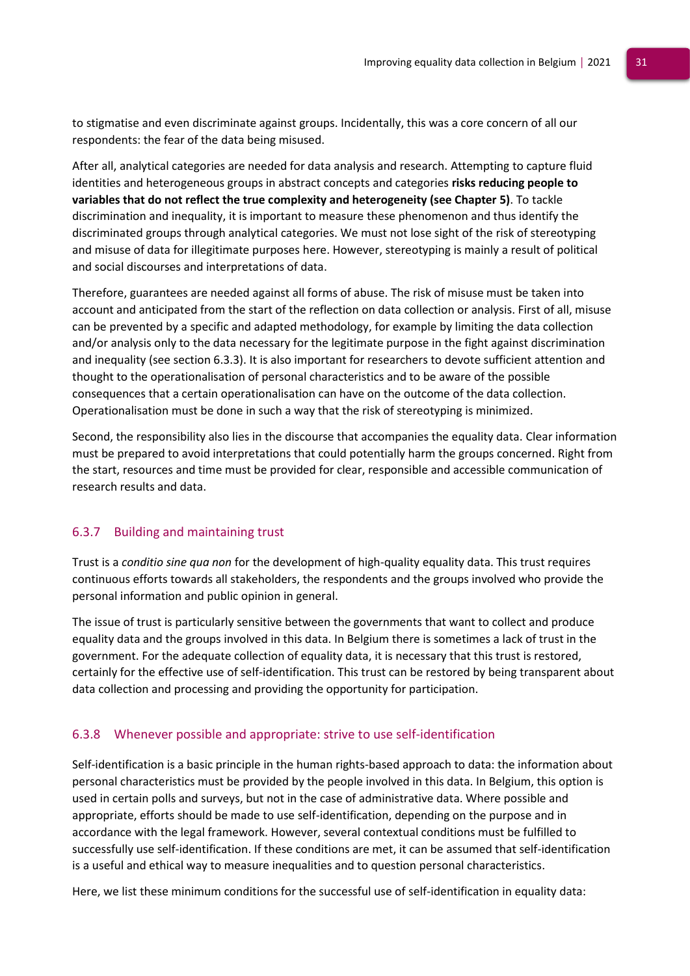to stigmatise and even discriminate against groups. Incidentally, this was a core concern of all our respondents: the fear of the data being misused.

After all, analytical categories are needed for data analysis and research. Attempting to capture fluid identities and heterogeneous groups in abstract concepts and categories **risks reducing people to variables that do not reflect the true complexity and heterogeneity (see Chapter 5)**. To tackle discrimination and inequality, it is important to measure these phenomenon and thus identify the discriminated groups through analytical categories. We must not lose sight of the risk of stereotyping and misuse of data for illegitimate purposes here. However, stereotyping is mainly a result of political and social discourses and interpretations of data.

Therefore, guarantees are needed against all forms of abuse. The risk of misuse must be taken into account and anticipated from the start of the reflection on data collection or analysis. First of all, misuse can be prevented by a specific and adapted methodology, for example by limiting the data collection and/or analysis only to the data necessary for the legitimate purpose in the fight against discrimination and inequality (see section 6.3.3). It is also important for researchers to devote sufficient attention and thought to the operationalisation of personal characteristics and to be aware of the possible consequences that a certain operationalisation can have on the outcome of the data collection. Operationalisation must be done in such a way that the risk of stereotyping is minimized.

Second, the responsibility also lies in the discourse that accompanies the equality data. Clear information must be prepared to avoid interpretations that could potentially harm the groups concerned. Right from the start, resources and time must be provided for clear, responsible and accessible communication of research results and data.

### <span id="page-31-0"></span>6.3.7 Building and maintaining trust

Trust is a *conditio sine qua non* for the development of high-quality equality data. This trust requires continuous efforts towards all stakeholders, the respondents and the groups involved who provide the personal information and public opinion in general.

The issue of trust is particularly sensitive between the governments that want to collect and produce equality data and the groups involved in this data. In Belgium there is sometimes a lack of trust in the government. For the adequate collection of equality data, it is necessary that this trust is restored, certainly for the effective use of self-identification. This trust can be restored by being transparent about data collection and processing and providing the opportunity for participation.

### <span id="page-31-1"></span>6.3.8 Whenever possible and appropriate: strive to use self-identification

Self-identification is a basic principle in the human rights-based approach to data: the information about personal characteristics must be provided by the people involved in this data. In Belgium, this option is used in certain polls and surveys, but not in the case of administrative data. Where possible and appropriate, efforts should be made to use self-identification, depending on the purpose and in accordance with the legal framework. However, several contextual conditions must be fulfilled to successfully use self-identification. If these conditions are met, it can be assumed that self-identification is a useful and ethical way to measure inequalities and to question personal characteristics.

Here, we list these minimum conditions for the successful use of self-identification in equality data: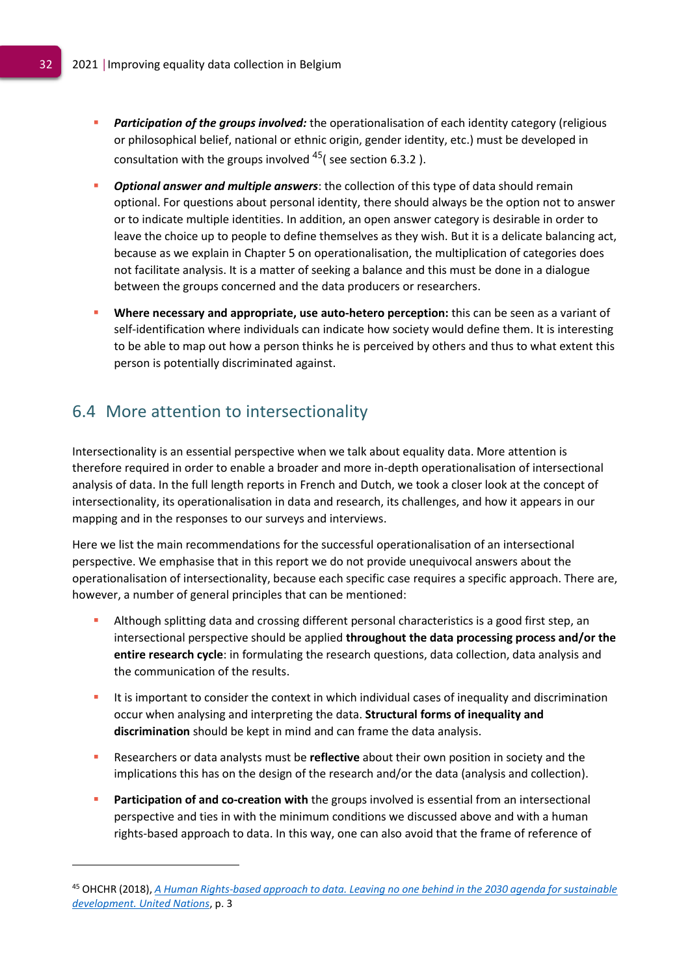- **Participation of the groups involved:** the operationalisation of each identity category (religious or philosophical belief, national or ethnic origin, gender identity, etc.) must be developed in consultation with the groups involved  $45$  (see section 6.3.2).
- **Optional answer and multiple answers**: the collection of this type of data should remain optional. For questions about personal identity, there should always be the option not to answer or to indicate multiple identities. In addition, an open answer category is desirable in order to leave the choice up to people to define themselves as they wish. But it is a delicate balancing act, because as we explain in Chapter 5 on operationalisation, the multiplication of categories does not facilitate analysis. It is a matter of seeking a balance and this must be done in a dialogue between the groups concerned and the data producers or researchers.
- **Where necessary and appropriate, use auto-hetero perception:** this can be seen as a variant of self-identification where individuals can indicate how society would define them. It is interesting to be able to map out how a person thinks he is perceived by others and thus to what extent this person is potentially discriminated against.

# <span id="page-32-0"></span>6.4 More attention to intersectionality

Intersectionality is an essential perspective when we talk about equality data. More attention is therefore required in order to enable a broader and more in-depth operationalisation of intersectional analysis of data. In the full length reports in French and Dutch, we took a closer look at the concept of intersectionality, its operationalisation in data and research, its challenges, and how it appears in our mapping and in the responses to our surveys and interviews.

Here we list the main recommendations for the successful operationalisation of an intersectional perspective. We emphasise that in this report we do not provide unequivocal answers about the operationalisation of intersectionality, because each specific case requires a specific approach. There are, however, a number of general principles that can be mentioned:

- Although splitting data and crossing different personal characteristics is a good first step, an intersectional perspective should be applied **throughout the data processing process and/or the entire research cycle**: in formulating the research questions, data collection, data analysis and the communication of the results.
- It is important to consider the context in which individual cases of inequality and discrimination occur when analysing and interpreting the data. **Structural forms of inequality and discrimination** should be kept in mind and can frame the data analysis.
- Researchers or data analysts must be **reflective** about their own position in society and the implications this has on the design of the research and/or the data (analysis and collection).
- **Participation of and co-creation with** the groups involved is essential from an intersectional perspective and ties in with the minimum conditions we discussed above and with a human rights-based approach to data. In this way, one can also avoid that the frame of reference of

<sup>45</sup> OHCHR (2018), *[A Human Rights-based approach to data. Leaving no one behind in the 2030 agenda for sustainable](https://www.ohchr.org/Documents/Issues/HRIndicators/GuidanceNoteonApproachtoData.pdf)  [development. United Nations](https://www.ohchr.org/Documents/Issues/HRIndicators/GuidanceNoteonApproachtoData.pdf)*, p. 3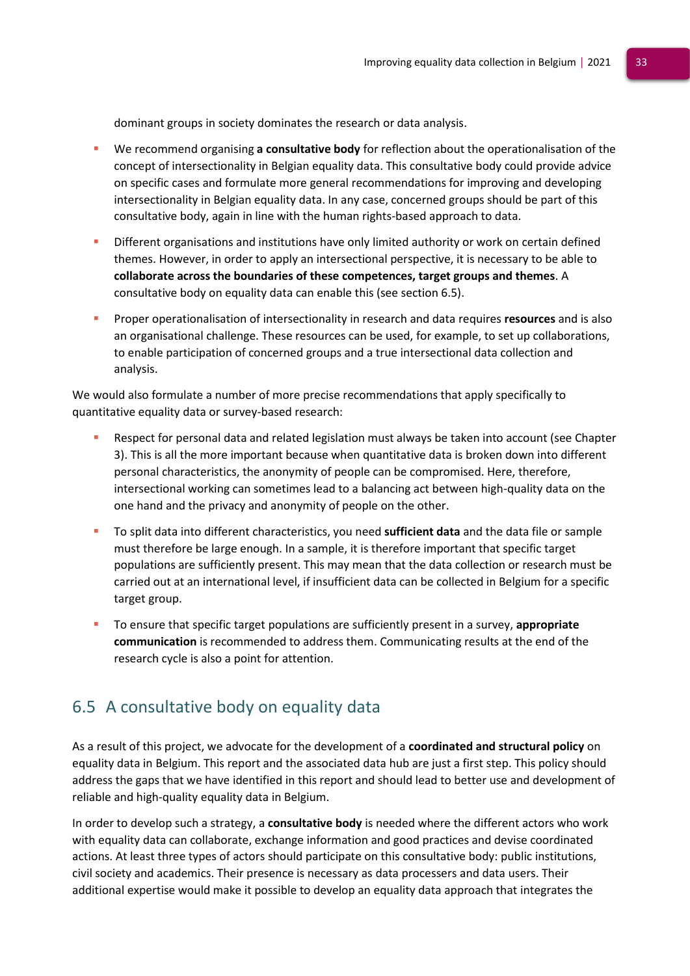dominant groups in society dominates the research or data analysis.

- We recommend organising **a consultative body** for reflection about the operationalisation of the concept of intersectionality in Belgian equality data. This consultative body could provide advice on specific cases and formulate more general recommendations for improving and developing intersectionality in Belgian equality data. In any case, concerned groups should be part of this consultative body, again in line with the human rights-based approach to data.
- Different organisations and institutions have only limited authority or work on certain defined themes. However, in order to apply an intersectional perspective, it is necessary to be able to **collaborate across the boundaries of these competences, target groups and themes**. A consultative body on equality data can enable this (see section 6.5).
- Proper operationalisation of intersectionality in research and data requires **resources** and is also an organisational challenge. These resources can be used, for example, to set up collaborations, to enable participation of concerned groups and a true intersectional data collection and analysis.

We would also formulate a number of more precise recommendations that apply specifically to quantitative equality data or survey-based research:

- Respect for personal data and related legislation must always be taken into account (see Chapter 3). This is all the more important because when quantitative data is broken down into different personal characteristics, the anonymity of people can be compromised. Here, therefore, intersectional working can sometimes lead to a balancing act between high-quality data on the one hand and the privacy and anonymity of people on the other.
- To split data into different characteristics, you need **sufficient data** and the data file or sample must therefore be large enough. In a sample, it is therefore important that specific target populations are sufficiently present. This may mean that the data collection or research must be carried out at an international level, if insufficient data can be collected in Belgium for a specific target group.
- To ensure that specific target populations are sufficiently present in a survey, **appropriate communication** is recommended to address them. Communicating results at the end of the research cycle is also a point for attention.

## <span id="page-33-0"></span>6.5 A consultative body on equality data

As a result of this project, we advocate for the development of a **coordinated and structural policy** on equality data in Belgium. This report and the associated data hub are just a first step. This policy should address the gaps that we have identified in this report and should lead to better use and development of reliable and high-quality equality data in Belgium.

In order to develop such a strategy, a **consultative body** is needed where the different actors who work with equality data can collaborate, exchange information and good practices and devise coordinated actions. At least three types of actors should participate on this consultative body: public institutions, civil society and academics. Their presence is necessary as data processers and data users. Their additional expertise would make it possible to develop an equality data approach that integrates the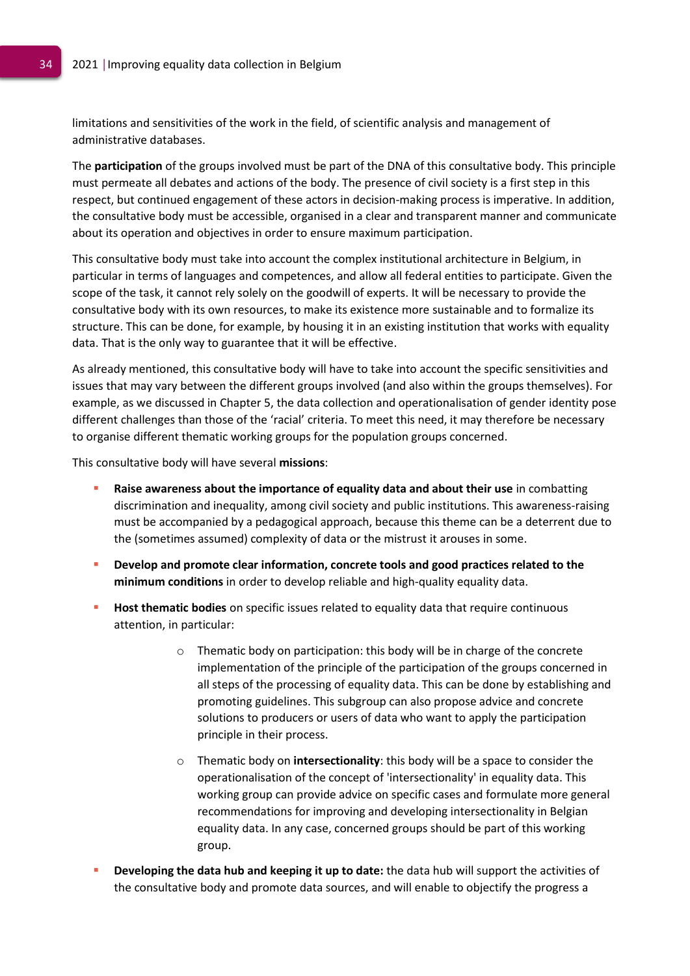limitations and sensitivities of the work in the field, of scientific analysis and management of administrative databases.

The **participation** of the groups involved must be part of the DNA of this consultative body. This principle must permeate all debates and actions of the body. The presence of civil society is a first step in this respect, but continued engagement of these actors in decision-making process is imperative. In addition, the consultative body must be accessible, organised in a clear and transparent manner and communicate about its operation and objectives in order to ensure maximum participation.

This consultative body must take into account the complex institutional architecture in Belgium, in particular in terms of languages and competences, and allow all federal entities to participate. Given the scope of the task, it cannot rely solely on the goodwill of experts. It will be necessary to provide the consultative body with its own resources, to make its existence more sustainable and to formalize its structure. This can be done, for example, by housing it in an existing institution that works with equality data. That is the only way to guarantee that it will be effective.

As already mentioned, this consultative body will have to take into account the specific sensitivities and issues that may vary between the different groups involved (and also within the groups themselves). For example, as we discussed in Chapter 5, the data collection and operationalisation of gender identity pose different challenges than those of the 'racial' criteria. To meet this need, it may therefore be necessary to organise different thematic working groups for the population groups concerned.

This consultative body will have several **missions**:

- **Raise awareness about the importance of equality data and about their use** in combatting discrimination and inequality, among civil society and public institutions. This awareness-raising must be accompanied by a pedagogical approach, because this theme can be a deterrent due to the (sometimes assumed) complexity of data or the mistrust it arouses in some.
- **Develop and promote clear information, concrete tools and good practices related to the minimum conditions** in order to develop reliable and high-quality equality data.
- **EXECTE Host thematic bodies** on specific issues related to equality data that require continuous attention, in particular:
	- o Thematic body on participation: this body will be in charge of the concrete implementation of the principle of the participation of the groups concerned in all steps of the processing of equality data. This can be done by establishing and promoting guidelines. This subgroup can also propose advice and concrete solutions to producers or users of data who want to apply the participation principle in their process.
	- o Thematic body on **intersectionality**: this body will be a space to consider the operationalisation of the concept of 'intersectionality' in equality data. This working group can provide advice on specific cases and formulate more general recommendations for improving and developing intersectionality in Belgian equality data. In any case, concerned groups should be part of this working group.
- **Developing the data hub and keeping it up to date:** the data hub will support the activities of the consultative body and promote data sources, and will enable to objectify the progress a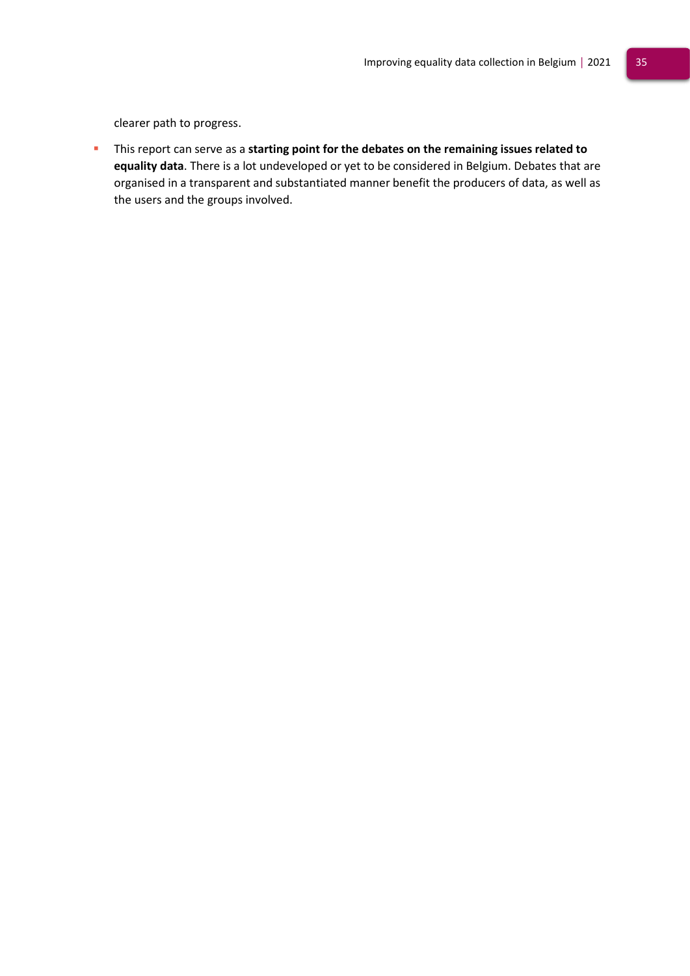clearer path to progress.

▪ This report can serve as a **starting point for the debates on the remaining issues related to equality data**. There is a lot undeveloped or yet to be considered in Belgium. Debates that are organised in a transparent and substantiated manner benefit the producers of data, as well as the users and the groups involved.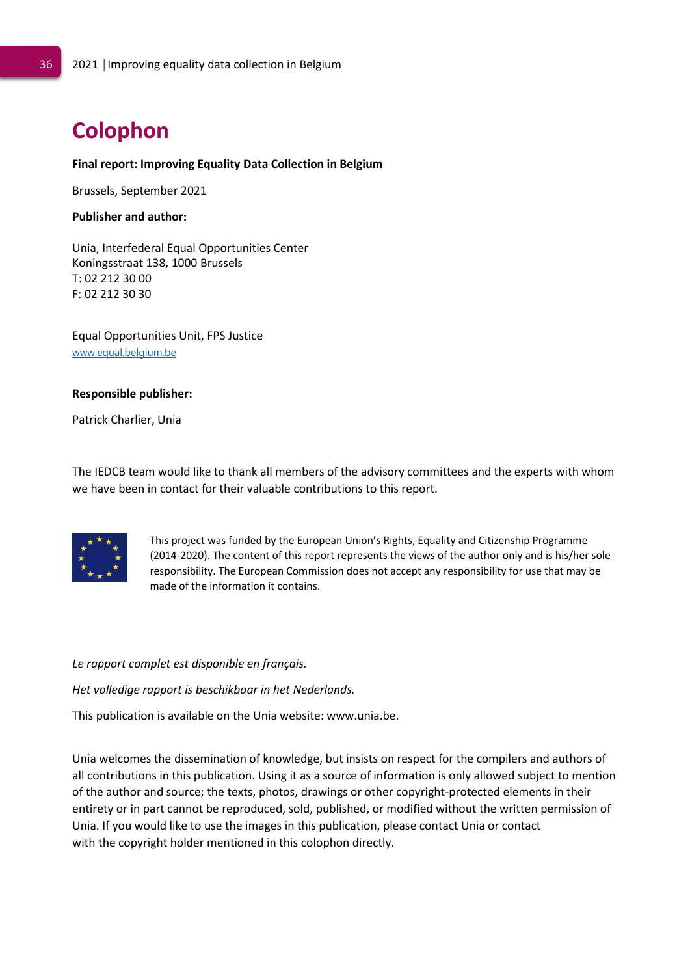# **Colophon**

### **Final report: Improving Equality Data Collection in Belgium**

Brussels, September 2021

### **Publisher and author:**

Unia, Interfederal Equal Opportunities Center Koningsstraat 138, 1000 Brussels T: 02 212 30 00 F: 02 212 30 30

Equal Opportunities Unit, FPS Justice [www.equal.belgium.be](https://linkprotect.cudasvc.com/url?a=http%3a%2f%2fwww.equal.belgium.be&c=E,1,6L9ra8d5QYRE6ZzJec--hoF04aVc8OEa7Pfum5hAIxr9UbacvxcIi6UKTCg4F2QqqFtSGMl5EnUJ4rrGS9mPc84p6jnC-iBEFnNTcJ3Y&typo=1)

#### **Responsible publisher:**

Patrick Charlier, Unia

The IEDCB team would like to thank all members of the advisory committees and the experts with whom we have been in contact for their valuable contributions to this report.



This project was funded by the European Union's Rights, Equality and Citizenship Programme (2014-2020). The content of this report represents the views of the author only and is his/her sole responsibility. The European Commission does not accept any responsibility for use that may be made of the information it contains.

*Le rapport complet est disponible en français.*

*Het volledige rapport is beschikbaar in het Nederlands.*

This publication is available on the Unia website: www.unia.be.

Unia welcomes the dissemination of knowledge, but insists on respect for the compilers and authors of all contributions in this publication. Using it as a source of information is only allowed subject to mention of the author and source; the texts, photos, drawings or other copyright-protected elements in their entirety or in part cannot be reproduced, sold, published, or modified without the written permission of Unia. If you would like to use the images in this publication, please contact Unia or contact with the copyright holder mentioned in this colophon directly.